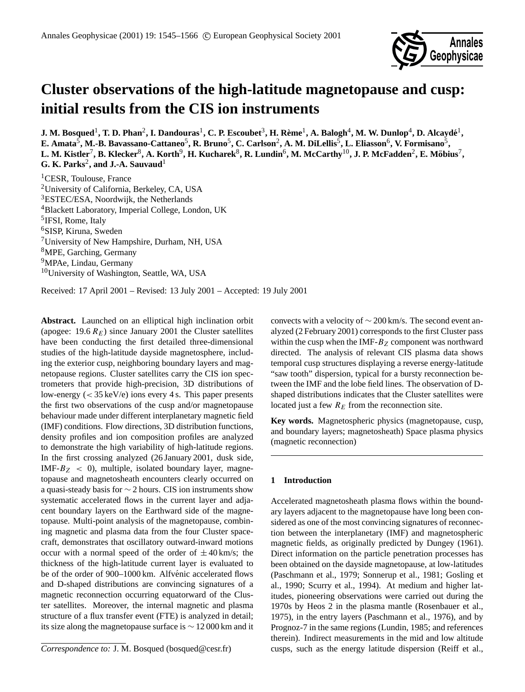

# **Cluster observations of the high-latitude magnetopause and cusp: initial results from the CIS ion instruments**

 $\bf J.$  M. Bosqued<sup>1</sup> , T. D. Phan<sup>2</sup> , I. Dandouras<sup>1</sup> , C. P. Escoubet<sup>3</sup> , H. Rème<sup>1</sup> , A. Balogh<sup>4</sup> , M. W. Dunlop<sup>4</sup> , D. Alcaydé<sup>1</sup> ,  $\bf{E.}\text{ Amata}^5,\text{M.-B.}\text{ Bavassano-Cattaneo}^5,\text{R.}\text{ Bruno}^5,\text{C.}\text{ Carison}^2,\text{A.}\text{M.}\text{DiLellis}^5,\text{L.}\text{Eliason}^6,\text{V.}\text{ Formisano}^5,\text{A.}\text{M.}$  $L$ . M. Kistler<sup>7</sup>, B. Klecker $^8$ , A. Korth $^9$ , H. Kucharek $^8$ , R. Lundin $^6$ , M. McCarthy $^{10}$ , J. P. McFadden $^2$ , E. Möbius $^7$ , **G. K. Parks<sup>2</sup>, and J.-A. Sauvaud<sup>1</sup>** 

<sup>1</sup>CESR, Toulouse, France <sup>2</sup>University of California, Berkeley, CA, USA <sup>3</sup>ESTEC/ESA, Noordwijk, the Netherlands <sup>4</sup>Blackett Laboratory, Imperial College, London, UK <sup>5</sup>IFSI, Rome, Italy <sup>6</sup>SISP, Kiruna, Sweden <sup>7</sup>University of New Hampshire, Durham, NH, USA <sup>8</sup>MPE, Garching, Germany <sup>9</sup>MPAe, Lindau, Germany <sup>10</sup>University of Washington, Seattle, WA, USA

Received: 17 April 2001 – Revised: 13 July 2001 – Accepted: 19 July 2001

**Abstract.** Launched on an elliptical high inclination orbit (apogee:  $19.6 R_E$ ) since January 2001 the Cluster satellites have been conducting the first detailed three-dimensional studies of the high-latitude dayside magnetosphere, including the exterior cusp, neighboring boundary layers and magnetopause regions. Cluster satellites carry the CIS ion spectrometers that provide high-precision, 3D distributions of low-energy  $(< 35 \text{ keV/e})$  ions every 4 s. This paper presents the first two observations of the cusp and/or magnetopause behaviour made under different interplanetary magnetic field (IMF) conditions. Flow directions, 3D distribution functions, density profiles and ion composition profiles are analyzed to demonstrate the high variability of high-latitude regions. In the first crossing analyzed (26 January 2001, dusk side, IMF- $B_Z$  < 0), multiple, isolated boundary layer, magnetopause and magnetosheath encounters clearly occurred on a quasi-steady basis for ∼ 2 hours. CIS ion instruments show systematic accelerated flows in the current layer and adjacent boundary layers on the Earthward side of the magnetopause. Multi-point analysis of the magnetopause, combining magnetic and plasma data from the four Cluster spacecraft, demonstrates that oscillatory outward-inward motions occur with a normal speed of the order of  $\pm 40$  km/s; the thickness of the high-latitude current layer is evaluated to be of the order of 900–1000 km. Alfvénic accelerated flows and D-shaped distributions are convincing signatures of a magnetic reconnection occurring equatorward of the Cluster satellites. Moreover, the internal magnetic and plasma structure of a flux transfer event (FTE) is analyzed in detail; its size along the magnetopause surface is ∼ 12 000 km and it convects with a velocity of ∼ 200 km/s. The second event analyzed (2 February 2001) corresponds to the first Cluster pass within the cusp when the IMF- $B_Z$  component was northward directed. The analysis of relevant CIS plasma data shows temporal cusp structures displaying a reverse energy-latitude "saw tooth" dispersion, typical for a bursty reconnection between the IMF and the lobe field lines. The observation of Dshaped distributions indicates that the Cluster satellites were located just a few  $R_E$  from the reconnection site.

**Key words.** Magnetospheric physics (magnetopause, cusp, and boundary layers; magnetosheath) Space plasma physics (magnetic reconnection)

# **1 Introduction**

Accelerated magnetosheath plasma flows within the boundary layers adjacent to the magnetopause have long been considered as one of the most convincing signatures of reconnection between the interplanetary (IMF) and magnetospheric magnetic fields, as originally predicted by Dungey (1961). Direct information on the particle penetration processes has been obtained on the dayside magnetopause, at low-latitudes (Paschmann et al., 1979; Sonnerup et al., 1981; Gosling et al., 1990; Scurry et al., 1994). At medium and higher latitudes, pioneering observations were carried out during the 1970s by Heos 2 in the plasma mantle (Rosenbauer et al., 1975), in the entry layers (Paschmann et al., 1976), and by Prognoz-7 in the same regions (Lundin, 1985; and references therein). Indirect measurements in the mid and low altitude cusps, such as the energy latitude dispersion (Reiff et al.,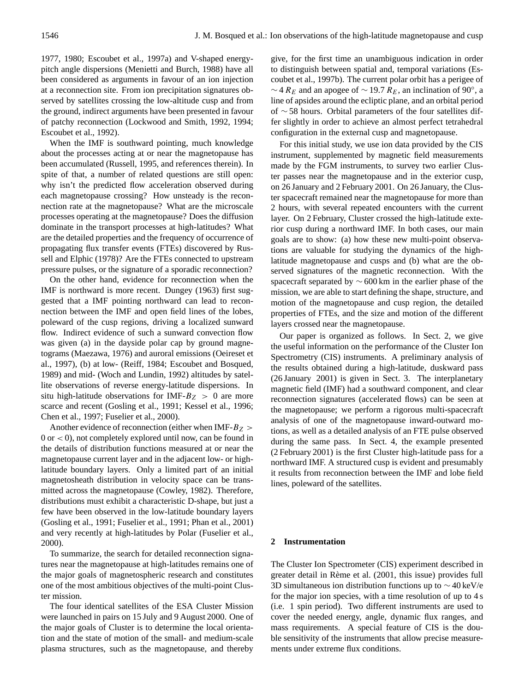1977, 1980; Escoubet et al., 1997a) and V-shaped energypitch angle dispersions (Menietti and Burch, 1988) have all been considered as arguments in favour of an ion injection at a reconnection site. From ion precipitation signatures observed by satellites crossing the low-altitude cusp and from the ground, indirect arguments have been presented in favour of patchy reconnection (Lockwood and Smith, 1992, 1994; Escoubet et al., 1992).

When the IMF is southward pointing, much knowledge about the processes acting at or near the magnetopause has been accumulated (Russell, 1995, and references therein). In spite of that, a number of related questions are still open: why isn't the predicted flow acceleration observed during each magnetopause crossing? How unsteady is the reconnection rate at the magnetopause? What are the microscale processes operating at the magnetopause? Does the diffusion dominate in the transport processes at high-latitudes? What are the detailed properties and the frequency of occurrence of propagating flux transfer events (FTEs) discovered by Russell and Elphic (1978)? Are the FTEs connected to upstream pressure pulses, or the signature of a sporadic reconnection?

On the other hand, evidence for reconnection when the IMF is northward is more recent. Dungey (1963) first suggested that a IMF pointing northward can lead to reconnection between the IMF and open field lines of the lobes, poleward of the cusp regions, driving a localized sunward flow. Indirect evidence of such a sunward convection flow was given (a) in the dayside polar cap by ground magnetograms (Maezawa, 1976) and auroral emissions (Oeireset et al., 1997), (b) at low- (Reiff, 1984; Escoubet and Bosqued, 1989) and mid- (Woch and Lundin, 1992) altitudes by satellite observations of reverse energy-latitude dispersions. In situ high-latitude observations for IMF- $B_Z > 0$  are more scarce and recent (Gosling et al., 1991; Kessel et al., 1996; Chen et al., 1997; Fuselier et al., 2000).

Another evidence of reconnection (either when IMF- $B_Z$ )  $0$  or  $<$  0), not completely explored until now, can be found in the details of distribution functions measured at or near the magnetopause current layer and in the adjacent low- or highlatitude boundary layers. Only a limited part of an initial magnetosheath distribution in velocity space can be transmitted across the magnetopause (Cowley, 1982). Therefore, distributions must exhibit a characteristic D-shape, but just a few have been observed in the low-latitude boundary layers (Gosling et al., 1991; Fuselier et al., 1991; Phan et al., 2001) and very recently at high-latitudes by Polar (Fuselier et al., 2000).

To summarize, the search for detailed reconnection signatures near the magnetopause at high-latitudes remains one of the major goals of magnetospheric research and constitutes one of the most ambitious objectives of the multi-point Cluster mission.

The four identical satellites of the ESA Cluster Mission were launched in pairs on 15 July and 9 August 2000. One of the major goals of Cluster is to determine the local orientation and the state of motion of the small- and medium-scale plasma structures, such as the magnetopause, and thereby give, for the first time an unambiguous indication in order to distinguish between spatial and, temporal variations (Escoubet et al., 1997b). The current polar orbit has a perigee of  $\sim$  4  $R_E$  and an apogee of  $\sim$  19.7  $R_E$ , an inclination of 90°, a line of apsides around the ecliptic plane, and an orbital period of ∼ 58 hours. Orbital parameters of the four satellites differ slightly in order to achieve an almost perfect tetrahedral configuration in the external cusp and magnetopause.

For this initial study, we use ion data provided by the CIS instrument, supplemented by magnetic field measurements made by the FGM instruments, to survey two earlier Cluster passes near the magnetopause and in the exterior cusp, on 26 January and 2 February 2001. On 26 January, the Cluster spacecraft remained near the magnetopause for more than 2 hours, with several repeated encounters with the current layer. On 2 February, Cluster crossed the high-latitude exterior cusp during a northward IMF. In both cases, our main goals are to show: (a) how these new multi-point observations are valuable for studying the dynamics of the highlatitude magnetopause and cusps and (b) what are the observed signatures of the magnetic reconnection. With the spacecraft separated by ∼ 600 km in the earlier phase of the mission, we are able to start defining the shape, structure, and motion of the magnetopause and cusp region, the detailed properties of FTEs, and the size and motion of the different layers crossed near the magnetopause.

Our paper is organized as follows. In Sect. 2, we give the useful information on the performance of the Cluster Ion Spectrometry (CIS) instruments. A preliminary analysis of the results obtained during a high-latitude, duskward pass (26 January 2001) is given in Sect. 3. The interplanetary magnetic field (IMF) had a southward component, and clear reconnection signatures (accelerated flows) can be seen at the magnetopause; we perform a rigorous multi-spacecraft analysis of one of the magnetopause inward-outward motions, as well as a detailed analysis of an FTE pulse observed during the same pass. In Sect. 4, the example presented (2 February 2001) is the first Cluster high-latitude pass for a northward IMF. A structured cusp is evident and presumably it results from reconnection between the IMF and lobe field lines, poleward of the satellites.

# **2 Instrumentation**

The Cluster Ion Spectrometer (CIS) experiment described in greater detail in Rème et al. (2001, this issue) provides full 3D simultaneous ion distribution functions up to ∼ 40 keV/e for the major ion species, with a time resolution of up to 4 s (i.e. 1 spin period). Two different instruments are used to cover the needed energy, angle, dynamic flux ranges, and mass requirements. A special feature of CIS is the double sensitivity of the instruments that allow precise measurements under extreme flux conditions.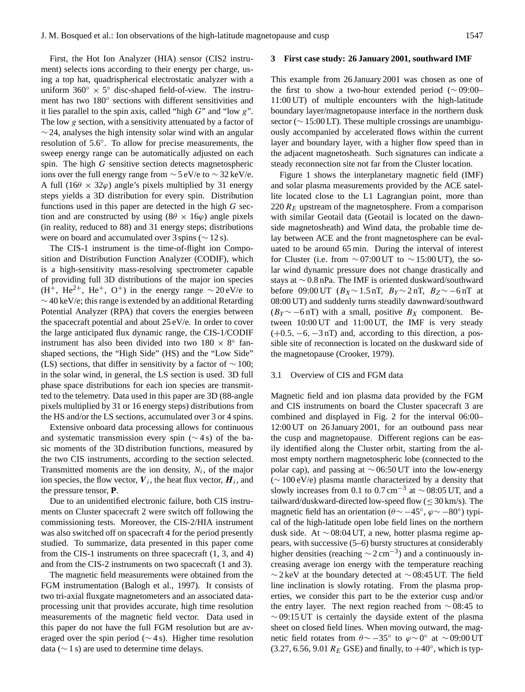First, the Hot Ion Analyzer (HIA) sensor (CIS2 instrument) selects ions according to their energy per charge, using a top hat, quadrispherical electrostatic analyzer with a uniform  $360^\circ \times 5^\circ$  disc-shaped field-of-view. The instrument has two 180° sections with different sensitivities and it lies parallel to the spin axis, called "high  $G$ " and "low  $g$ ". The low g section, with a sensitivity attenuated by a factor of  $\sim$  24, analyses the high intensity solar wind with an angular resolution of 5.6◦ . To allow for precise measurements, the sweep energy range can be automatically adjusted on each spin. The high G sensitive section detects magnetospheric ions over the full energy range from  $\sim$  5 eV/e to  $\sim$  32 keV/e. A full (16 $\theta \times 32\varphi$ ) angle's pixels multiplied by 31 energy steps yields a 3D distribution for every spin. Distribution functions used in this paper are detected in the high G section and are constructed by using  $(8\theta \times 16\varphi)$  angle pixels (in reality, reduced to 88) and 31 energy steps; distributions were on board and accumulated over 3 spins (∼ 12 s).

The CIS-1 instrument is the time-of-flight ion Composition and Distribution Function Analyzer (CODIF), which is a high-sensitivity mass-resolving spectrometer capable of providing full 3D distributions of the major ion species (H<sup>+</sup>, He<sup>2+</sup>, He<sup>+</sup>, O<sup>+</sup>) in the energy range ∼20 eV/e to  $\sim$  40 keV/e; this range is extended by an additional Retarding Potential Analyzer (RPA) that covers the energies between the spacecraft potential and about 25 eV/e. In order to cover the large anticipated flux dynamic range, the CIS-1/CODIF instrument has also been divided into two  $180 \times 8^\circ$  fanshaped sections, the "High Side" (HS) and the "Low Side" (LS) sections, that differ in sensitivity by a factor of  $\sim$  100; in the solar wind, in general, the LS section is used. 3D full phase space distributions for each ion species are transmitted to the telemetry. Data used in this paper are 3D (88-angle pixels multiplied by 31 or 16 energy steps) distributions from the HS and/or the LS sections, accumulated over 3 or 4 spins.

Extensive onboard data processing allows for continuous and systematic transmission every spin (∼ 4 s) of the basic moments of the 3D distribution functions, measured by the two CIS instruments, according to the section selected. Transmitted moments are the ion density,  $N_i$ , of the major ion species, the flow vector,  $V_i$ , the heat flux vector,  $H_i$ , and the pressure tensor, **P**.

Due to an unidentified electronic failure, both CIS instruments on Cluster spacecraft 2 were switch off following the commissioning tests. Moreover, the CIS-2/HIA instrument was also switched off on spacecraft 4 for the period presently studied. To summarize, data presented in this paper come from the CIS-1 instruments on three spacecraft (1, 3, and 4) and from the CIS-2 instruments on two spacecraft (1 and 3).

The magnetic field measurements were obtained from the FGM instrumentation (Balogh et al., 1997). It consists of two tri-axial fluxgate magnetometers and an associated dataprocessing unit that provides accurate, high time resolution measurements of the magnetic field vector. Data used in this paper do not have the full FGM resolution but are averaged over the spin period ( $\sim$  4 s). Higher time resolution data ( $\sim$  1 s) are used to determine time delays.

#### **3 First case study: 26 January 2001, southward IMF**

This example from 26 January 2001 was chosen as one of the first to show a two-hour extended period (∼ 09:00– 11:00 UT) of multiple encounters with the high-latitude boundary layer/magnetopause interface in the northern dusk sector ( $\sim$  15:00 LT). These multiple crossings are unambiguously accompanied by accelerated flows within the current layer and boundary layer, with a higher flow speed than in the adjacent magnetosheath. Such signatures can indicate a steady reconnection site not far from the Cluster location.

Figure 1 shows the interplanetary magnetic field (IMF) and solar plasma measurements provided by the ACE satellite located close to the L1 Lagrangian point, more than 220  $R_E$  upstream of the magnetosphere. From a comparison with similar Geotail data (Geotail is located on the dawnside magnetosheath) and Wind data, the probable time delay between ACE and the front magnetosphere can be evaluated to be around 65 min. During the interval of interest for Cluster (i.e. from  $\sim$  07:00 UT to  $\sim$  15:00 UT), the solar wind dynamic pressure does not change drastically and stays at ∼ 0.8 nPa. The IMF is oriented duskward/southward before 09:00 UT ( $B_X \sim 1.5$  nT,  $B_Y \sim 2$  nT,  $B_Z \sim -6$  nT at 08:00 UT) and suddenly turns steadily dawnward/southward  $(B_Y \sim -6 \text{ nT})$  with a small, positive  $B_X$  component. Between 10:00 UT and 11:00 UT, the IMF is very steady  $(+0.5, -6, -3 \text{ nT})$  and, according to this direction, a possible site of reconnection is located on the duskward side of the magnetopause (Crooker, 1979).

# 3.1 Overview of CIS and FGM data

Magnetic field and ion plasma data provided by the FGM and CIS instruments on board the Cluster spacecraft 3 are combined and displayed in Fig. 2 for the interval 06:00– 12:00 UT on 26 January 2001, for an outbound pass near the cusp and magnetopause. Different regions can be easily identified along the Cluster orbit, starting from the almost empty northern magnetospheric lobe (connected to the polar cap), and passing at ∼ 06:50 UT into the low-energy (∼ 100 eV/e) plasma mantle characterized by a density that slowly increases from 0.1 to 0.7 cm<sup>-3</sup> at  $\sim$  08:05 UT, and a tailward/duskward-directed low-speed flow  $(\leq 30 \text{ km/s})$ . The magnetic field has an orientation ( $\theta \sim -45^\circ$ ,  $\varphi \sim -80^\circ$ ) typical of the high-latitude open lobe field lines on the northern dusk side. At ∼ 08:04 UT, a new, hotter plasma regime appears, with successive (5–6) bursty structures at considerably higher densities (reaching  $\sim$  2 cm<sup>-3</sup>) and a continuously increasing average ion energy with the temperature reaching  $∼ 2$  keV at the boundary detected at  $∼ 08:45$  UT. The field line inclination is slowly rotating. From the plasma properties, we consider this part to be the exterior cusp and/or the entry layer. The next region reached from ∼ 08:45 to  $\sim$  09:15 UT is certainly the dayside extent of the plasma sheet on closed field lines. When moving outward, the magnetic field rotates from  $\theta \sim -35^\circ$  to  $\varphi \sim 0^\circ$  at ~09:00 UT (3.27, 6.56, 9.01  $R_E$  GSE) and finally, to  $+40^\circ$ , which is typ-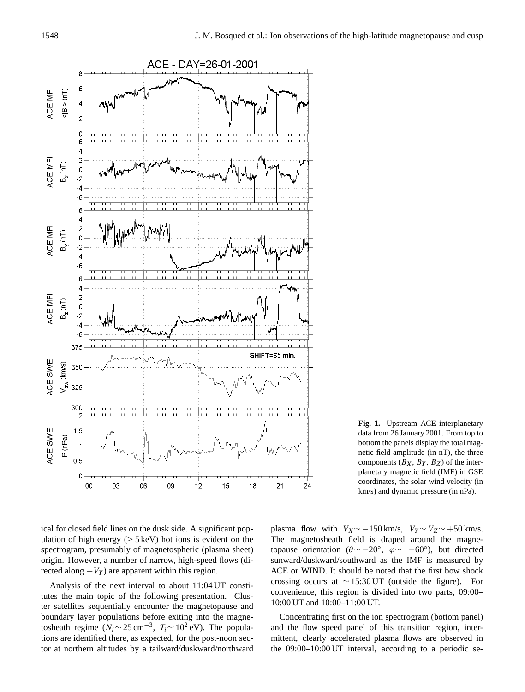

**Fig. 1.** Upstream ACE interplanetary data from 26 January 2001. From top to bottom the panels display the total magnetic field amplitude (in nT), the three components  $(B_X, B_Y, B_Z)$  of the interplanetary magnetic field (IMF) in GSE coordinates, the solar wind velocity (in km/s) and dynamic pressure (in nPa).

ical for closed field lines on the dusk side. A significant population of high energy ( $> 5 \,\text{keV}$ ) hot ions is evident on the spectrogram, presumably of magnetospheric (plasma sheet) origin. However, a number of narrow, high-speed flows (directed along  $-V_Y$ ) are apparent within this region.

Analysis of the next interval to about 11:04 UT constitutes the main topic of the following presentation. Cluster satellites sequentially encounter the magnetopause and boundary layer populations before exiting into the magnetosheath regime  $(N_i \sim 25 \text{ cm}^{-3}, T_i \sim 10^2 \text{ eV})$ . The populations are identified there, as expected, for the post-noon sector at northern altitudes by a tailward/duskward/northward plasma flow with  $V_X \sim -150 \text{ km/s}$ ,  $V_Y \sim V_Z \sim +50 \text{ km/s}$ . The magnetosheath field is draped around the magnetopause orientation ( $\theta \sim -20^\circ$ ,  $\varphi \sim -60^\circ$ ), but directed sunward/duskward/southward as the IMF is measured by ACE or WIND. It should be noted that the first bow shock crossing occurs at ∼ 15:30 UT (outside the figure). For convenience, this region is divided into two parts, 09:00– 10:00 UT and 10:00–11:00 UT.

Concentrating first on the ion spectrogram (bottom panel) and the flow speed panel of this transition region, intermittent, clearly accelerated plasma flows are observed in the 09:00–10:00 UT interval, according to a periodic se-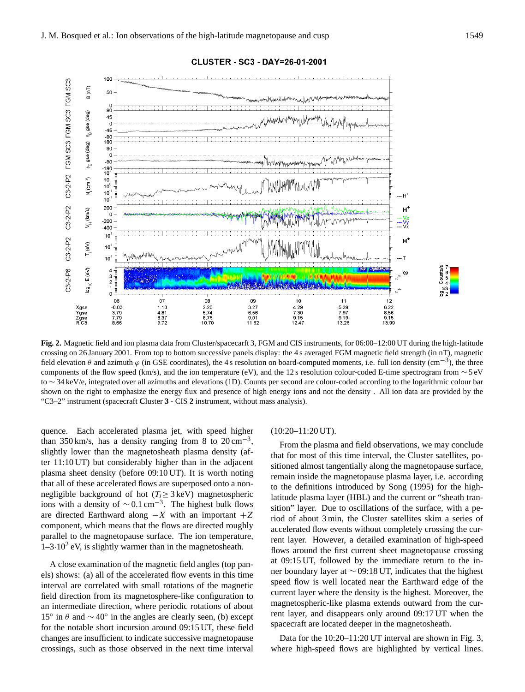

CLUSTER - SC3 - DAY=26-01-2001

**Fig. 2.** Magnetic field and ion plasma data from Cluster/spacecarft 3, FGM and CIS instruments, for 06:00–12:00 UT during the high-latitude crossing on 26 January 2001. From top to bottom successive panels display: the 4 s averaged FGM magnetic field strength (in nT), magnetic field elevation  $\theta$  and azimuth  $\varphi$  (in GSE coordinates), the 4 s resolution on board-computed moments, i.e. full ion density (cm<sup>-3</sup>), the three components of the flow speed (km/s), and the ion temperature (eV), and the 12 s resolution colour-coded E-time spectrogram from ∼ 5 eV to ∼ 34 keV/e, integrated over all azimuths and elevations (1D). Counts per second are colour-coded according to the logarithmic colour bar shown on the right to emphasize the energy flux and presence of high energy ions and not the density . All ion data are provided by the "C3–2" instrument (spacecraft **C**luster **3** - CIS **2** instrument, without mass analysis).

quence. Each accelerated plasma jet, with speed higher than 350 km/s, has a density ranging from 8 to  $20 \text{ cm}^{-3}$ , slightly lower than the magnetosheath plasma density (after 11:10 UT) but considerably higher than in the adjacent plasma sheet density (before 09:10 UT). It is worth noting that all of these accelerated flows are superposed onto a nonnegligible background of hot ( $T_i \geq 3$  keV) magnetospheric ions with a density of  $\sim 0.1 \text{ cm}^{-3}$ . The highest bulk flows are directed Earthward along  $-X$  with an important  $+Z$ component, which means that the flows are directed roughly parallel to the magnetopause surface. The ion temperature,  $1-3.10<sup>2</sup>$  eV, is slightly warmer than in the magnetosheath.

A close examination of the magnetic field angles (top panels) shows: (a) all of the accelerated flow events in this time interval are correlated with small rotations of the magnetic field direction from its magnetosphere-like configuration to an intermediate direction, where periodic rotations of about 15<sup>°</sup> in θ and  $\sim$  40<sup>°</sup> in the angles are clearly seen, (b) except for the notable short incursion around 09:15 UT, these field changes are insufficient to indicate successive magnetopause crossings, such as those observed in the next time interval

#### (10:20–11:20 UT).

From the plasma and field observations, we may conclude that for most of this time interval, the Cluster satellites, positioned almost tangentially along the magnetopause surface, remain inside the magnetopause plasma layer, i.e. according to the definitions introduced by Song (1995) for the highlatitude plasma layer (HBL) and the current or "sheath transition" layer. Due to oscillations of the surface, with a period of about 3 min, the Cluster satellites skim a series of accelerated flow events without completely crossing the current layer. However, a detailed examination of high-speed flows around the first current sheet magnetopause crossing at 09:15 UT, followed by the immediate return to the inner boundary layer at ∼ 09:18 UT, indicates that the highest speed flow is well located near the Earthward edge of the current layer where the density is the highest. Moreover, the magnetospheric-like plasma extends outward from the current layer, and disappears only around 09:17 UT when the spacecraft are located deeper in the magnetosheath.

Data for the 10:20–11:20 UT interval are shown in Fig. 3, where high-speed flows are highlighted by vertical lines.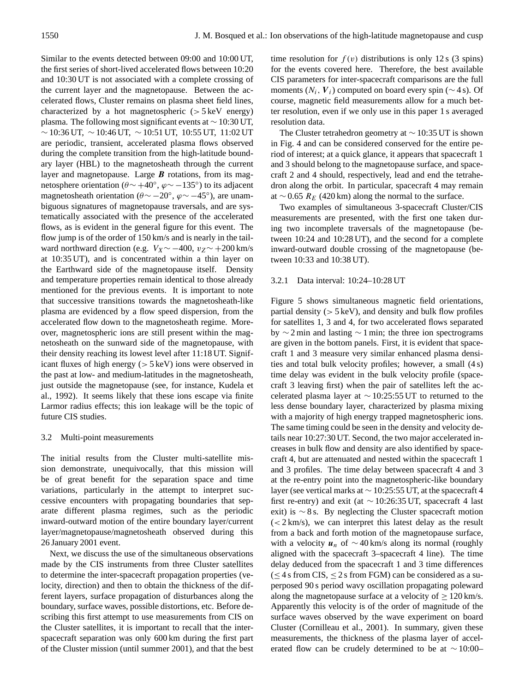Similar to the events detected between 09:00 and 10:00 UT, the first series of short-lived accelerated flows between 10:20 and 10:30 UT is not associated with a complete crossing of the current layer and the magnetopause. Between the accelerated flows, Cluster remains on plasma sheet field lines, characterized by a hot magnetospheric  $(> 5 \text{ keV}$  energy) plasma. The following most significant events at ∼ 10:30 UT, ∼ 10:36 UT, ∼ 10:46 UT, ∼ 10:51 UT, 10:55 UT, 11:02 UT are periodic, transient, accelerated plasma flows observed during the complete transition from the high-latitude boundary layer (HBL) to the magnetosheath through the current layer and magnetopause. Large  $\boldsymbol{B}$  rotations, from its magnetosphere orientation ( $\theta \sim +40^{\circ}$ ,  $\varphi \sim -135^{\circ}$ ) to its adjacent magnetosheath orientation ( $\theta \sim -20^{\circ}$ ,  $\varphi \sim -45^{\circ}$ ), are unambiguous signatures of magnetopause traversals, and are systematically associated with the presence of the accelerated flows, as is evident in the general figure for this event. The flow jump is of the order of 150 km/s and is nearly in the tailward northward direction (e.g.  $V_X \sim -400$ ,  $v_Z \sim +200$  km/s at 10:35 UT), and is concentrated within a thin layer on the Earthward side of the magnetopause itself. Density and temperature properties remain identical to those already mentioned for the previous events. It is important to note that successive transitions towards the magnetosheath-like plasma are evidenced by a flow speed dispersion, from the accelerated flow down to the magnetosheath regime. Moreover, magnetospheric ions are still present within the magnetosheath on the sunward side of the magnetopause, with their density reaching its lowest level after 11:18 UT. Significant fluxes of high energy (> 5 keV) ions were observed in the past at low- and medium-latitudes in the magnetosheath, just outside the magnetopause (see, for instance, Kudela et al., 1992). It seems likely that these ions escape via finite Larmor radius effects; this ion leakage will be the topic of future CIS studies.

# 3.2 Multi-point measurements

The initial results from the Cluster multi-satellite mission demonstrate, unequivocally, that this mission will be of great benefit for the separation space and time variations, particularly in the attempt to interpret successive encounters with propagating boundaries that separate different plasma regimes, such as the periodic inward-outward motion of the entire boundary layer/current layer/magnetopause/magnetosheath observed during this 26 January 2001 event.

Next, we discuss the use of the simultaneous observations made by the CIS instruments from three Cluster satellites to determine the inter-spacecraft propagation properties (velocity, direction) and then to obtain the thickness of the different layers, surface propagation of disturbances along the boundary, surface waves, possible distortions, etc. Before describing this first attempt to use measurements from CIS on the Cluster satellites, it is important to recall that the interspacecraft separation was only 600 km during the first part of the Cluster mission (until summer 2001), and that the best time resolution for  $f(v)$  distributions is only 12 s (3 spins) for the events covered here. Therefore, the best available CIS parameters for inter-spacecraft comparisons are the full moments ( $N_i$ ,  $V_i$ ) computed on board every spin ( $\sim$  4 s). Of course, magnetic field measurements allow for a much better resolution, even if we only use in this paper 1 s averaged resolution data.

The Cluster tetrahedron geometry at ∼ 10:35 UT is shown in Fig. 4 and can be considered conserved for the entire period of interest; at a quick glance, it appears that spacecraft 1 and 3 should belong to the magnetopause surface, and spacecraft 2 and 4 should, respectively, lead and end the tetrahedron along the orbit. In particular, spacecraft 4 may remain at ∼ 0.65  $R_E$  (420 km) along the normal to the surface.

Two examples of simultaneous 3-spacecraft Cluster/CIS measurements are presented, with the first one taken during two incomplete traversals of the magnetopause (between 10:24 and 10:28 UT), and the second for a complete inward-outward double crossing of the magnetopause (between 10:33 and 10:38 UT).

# 3.2.1 Data interval: 10:24–10:28 UT

Figure 5 shows simultaneous magnetic field orientations, partial density  $(> 5 \,\text{keV})$ , and density and bulk flow profiles for satellites 1, 3 and 4, for two accelerated flows separated by ∼ 2 min and lasting ∼ 1 min; the three ion spectrograms are given in the bottom panels. First, it is evident that spacecraft 1 and 3 measure very similar enhanced plasma densities and total bulk velocity profiles; however, a small (4 s) time delay was evident in the bulk velocity profile (spacecraft 3 leaving first) when the pair of satellites left the accelerated plasma layer at ∼ 10:25:55 UT to returned to the less dense boundary layer, characterized by plasma mixing with a majority of high energy trapped magnetospheric ions. The same timing could be seen in the density and velocity details near 10:27:30 UT. Second, the two major accelerated increases in bulk flow and density are also identified by spacecraft 4, but are attenuated and nested within the spacecraft 1 and 3 profiles. The time delay between spacecraft 4 and 3 at the re-entry point into the magnetospheric-like boundary layer (see vertical marks at ∼ 10:25:55 UT, at the spacecraft 4 first re-entry) and exit (at ∼ 10:26:35 UT, spacecraft 4 last exit) is  $\sim$  8 s. By neglecting the Cluster spacecraft motion  $(< 2 \text{ km/s})$ , we can interpret this latest delay as the result from a back and forth motion of the magnetopause surface, with a velocity  $u_n$  of ~40 km/s along its normal (roughly aligned with the spacecraft 3–spacecraft 4 line). The time delay deduced from the spacecraft 1 and 3 time differences  $(\leq 4 \text{ s from CIS}, \leq 2 \text{ s from FGM})$  can be considered as a superposed 90 s period wavy oscillation propagating poleward along the magnetopause surface at a velocity of  $\geq 120$  km/s. Apparently this velocity is of the order of magnitude of the surface waves observed by the wave experiment on board Cluster (Cornilleau et al., 2001). In summary, given these measurements, the thickness of the plasma layer of accelerated flow can be crudely determined to be at ∼ 10:00–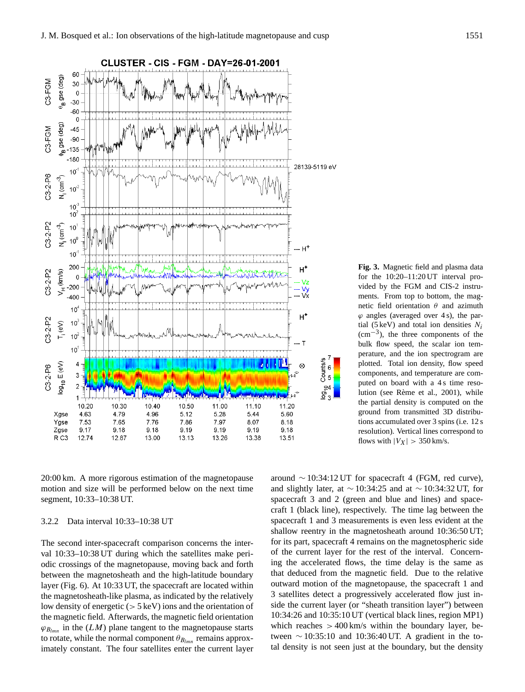

vided by the FGM and CIS-2 instruments. From top to bottom, the magnetic field orientation  $\theta$  and azimuth  $\varphi$  angles (averaged over 4 s), the partial (5 keV) and total ion densities  $N_i$ (cm−<sup>3</sup> ), the three components of the bulk flow speed, the scalar ion temperature, and the ion spectrogram are plotted. Total ion density, flow speed components, and temperature are computed on board with a 4s time resolution (see Rème et al., 2001), while the partial density is computed on the ground from transmitted 3D distributions accumulated over 3 spins (i.e. 12 s resolution). Vertical lines correspond to flows with  $|V_X| > 350$  km/s.

**Fig. 3.** Magnetic field and plasma data for the 10:20–11:20 UT interval pro-

20:00 km. A more rigorous estimation of the magnetopause motion and size will be performed below on the next time segment, 10:33–10:38 UT.

# 3.2.2 Data interval 10:33–10:38 UT

The second inter-spacecraft comparison concerns the interval 10:33–10:38 UT during which the satellites make periodic crossings of the magnetopause, moving back and forth between the magnetosheath and the high-latitude boundary layer (Fig. 6). At 10:33 UT, the spacecraft are located within the magnetosheath-like plasma, as indicated by the relatively low density of energetic  $(> 5 \text{ keV})$  ions and the orientation of the magnetic field. Afterwards, the magnetic field orientation  $\varphi_{B_{lmn}}$  in the  $(LM)$  plane tangent to the magnetopause starts to rotate, while the normal component  $\theta_{B_{lmn}}$  remains approximately constant. The four satellites enter the current layer

around  $\sim$  10:34:12 UT for spacecraft 4 (FGM, red curve), and slightly later, at  $\sim$  10:34:25 and at  $\sim$  10:34:32 UT, for spacecraft 3 and 2 (green and blue and lines) and spacecraft 1 (black line), respectively. The time lag between the spacecraft 1 and 3 measurements is even less evident at the shallow reentry in the magnetosheath around 10:36:50 UT; for its part, spacecraft 4 remains on the magnetospheric side of the current layer for the rest of the interval. Concerning the accelerated flows, the time delay is the same as that deduced from the magnetic field. Due to the relative outward motion of the magnetopause, the spacecraft 1 and 3 satellites detect a progressively accelerated flow just inside the current layer (or "sheath transition layer") between 10:34:26 and 10:35:10 UT (vertical black lines, region MP1) which reaches  $> 400$  km/s within the boundary layer, between  $\sim$  10:35:10 and 10:36:40 UT. A gradient in the total density is not seen just at the boundary, but the density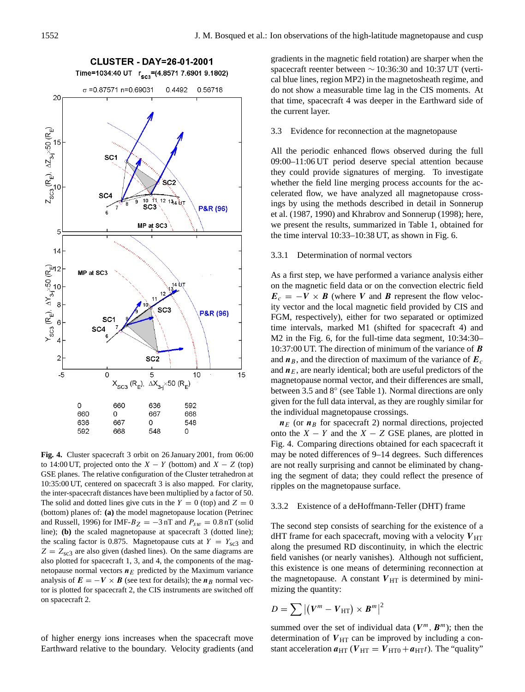

**Fig. 4.** Cluster spacecraft 3 orbit on 26 January 2001, from 06:00 to 14:00 UT, projected onto the  $X - Y$  (bottom) and  $X - Z$  (top) GSE planes. The relative configuration of the Cluster tetrahedron at 10:35:00 UT, centered on spacecraft 3 is also mapped. For clarity, the inter-spacecraft distances have been multiplied by a factor of 50. The solid and dotted lines give cuts in the  $Y = 0$  (top) and  $Z = 0$ (bottom) planes of: **(a)** the model magnetopause location (Petrinec and Russell, 1996) for IMF- $B_Z = -3$  nT and  $P_{sw} = 0.8$  nT (solid line); **(b)** the scaled magnetopause at spacecraft 3 (dotted line); the scaling factor is 0.875. Magnetopause cuts at  $Y = Y_{\text{sc3}}$  and  $Z = Z_{\rm sc3}$  are also given (dashed lines). On the same diagrams are also plotted for spacecraft 1, 3, and 4, the components of the magnetopause normal vectors  $n_E$  predicted by the Maximum variance analysis of  $E = -V \times B$  (see text for details); the  $n_B$  normal vector is plotted for spacecraft 2, the CIS instruments are switched off on spacecraft 2.

of higher energy ions increases when the spacecraft move Earthward relative to the boundary. Velocity gradients (and gradients in the magnetic field rotation) are sharper when the spacecraft reenter between ∼ 10:36:30 and 10:37 UT (vertical blue lines, region MP2) in the magnetosheath regime, and do not show a measurable time lag in the CIS moments. At that time, spacecraft 4 was deeper in the Earthward side of the current layer.

3.3 Evidence for reconnection at the magnetopause

All the periodic enhanced flows observed during the full 09:00–11:06 UT period deserve special attention because they could provide signatures of merging. To investigate whether the field line merging process accounts for the accelerated flow, we have analyzed all magnetopause crossings by using the methods described in detail in Sonnerup et al. (1987, 1990) and Khrabrov and Sonnerup (1998); here, we present the results, summarized in Table 1, obtained for the time interval 10:33–10:38 UT, as shown in Fig. 6.

#### 3.3.1 Determination of normal vectors

As a first step, we have performed a variance analysis either on the magnetic field data or on the convection electric field  $E_c = -V \times B$  (where V and B represent the flow velocity vector and the local magnetic field provided by CIS and FGM, respectively), either for two separated or optimized time intervals, marked M1 (shifted for spacecraft 4) and M2 in the Fig. 6, for the full-time data segment, 10:34:30– 10:37:00 UT. The direction of minimum of the variance of B and  $n_B$ , and the direction of maximum of the variance of  $E_c$ and  $n_E$ , are nearly identical; both are useful predictors of the magnetopause normal vector, and their differences are small, between 3.5 and 8° (see Table 1). Normal directions are only given for the full data interval, as they are roughly similar for the individual magnetopause crossings.

 $n_E$  (or  $n_B$  for spacecraft 2) normal directions, projected onto the  $X - Y$  and the  $X - Z$  GSE planes, are plotted in Fig. 4. Comparing directions obtained for each spacecraft it may be noted differences of 9–14 degrees. Such differences are not really surprising and cannot be eliminated by changing the segment of data; they could reflect the presence of ripples on the magnetopause surface.

# 3.3.2 Existence of a deHoffmann-Teller (DHT) frame

The second step consists of searching for the existence of a dHT frame for each spacecraft, moving with a velocity  $V_{\text{HT}}$ along the presumed RD discontinuity, in which the electric field vanishes (or nearly vanishes). Although not sufficient, this existence is one means of determining reconnection at the magnetopause. A constant  $V_{\text{HT}}$  is determined by minimizing the quantity:

$$
D = \sum |(V^m - V_{\text{HT}}) \times \boldsymbol{B}^m|^2
$$

summed over the set of individual data ( $V^m$ ,  $B^m$ ); then the determination of  $V_{\text{HT}}$  can be improved by including a constant acceleration  $a_{\text{HT}}$  ( $V_{\text{HT}} = V_{\text{HT0}} + a_{\text{HT}}t$ ). The "quality"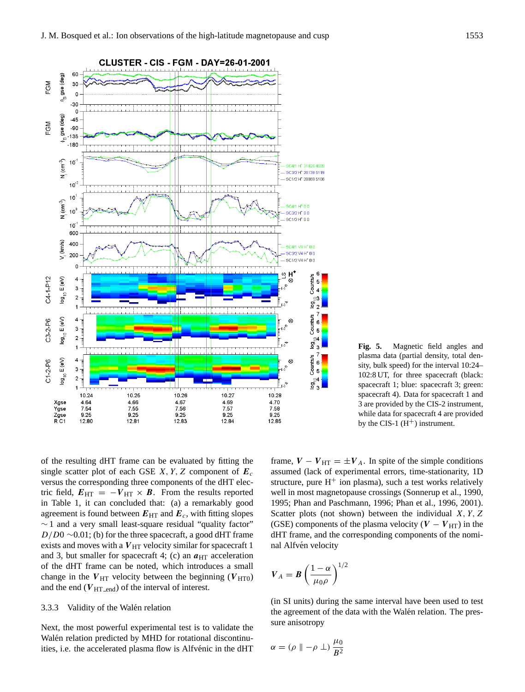

**Fig. 5.** Magnetic field angles and plasma data (partial density, total density, bulk speed) for the interval 10:24– 102:8 UT, for three spacecraft (black: spacecraft 1; blue: spacecraft 3; green: spacecraft 4). Data for spacecraft 1 and 3 are provided by the CIS-2 instrument, while data for spacecraft 4 are provided by the CIS-1  $(H<sup>+</sup>)$  instrument.

of the resulting dHT frame can be evaluated by fitting the single scatter plot of each GSE  $X, Y, Z$  component of  $E_c$ versus the corresponding three components of the dHT electric field,  $E_{\text{HT}} = -V_{\text{HT}} \times B$ . From the results reported in Table 1, it can concluded that: (a) a remarkably good agreement is found between  $E_{HT}$  and  $E_c$ , with fitting slopes ∼ 1 and a very small least-square residual "quality factor"  $D/D0 \sim 0.01$ ; (b) for the three spacecraft, a good dHT frame exists and moves with a  $V_{\text{HT}}$  velocity similar for spacecraft 1 and 3, but smaller for spacecraft 4; (c) an  $a_{\text{HT}}$  acceleration of the dHT frame can be noted, which introduces a small change in the  $V_{\text{HT}}$  velocity between the beginning ( $V_{\text{HT0}}$ ) and the end ( $V_{\text{HT\_end}}$ ) of the interval of interest.

# 3.3.3 Validity of the Walén relation

Next, the most powerful experimental test is to validate the Walén relation predicted by MHD for rotational discontinuities, i.e. the accelerated plasma flow is Alfvénic in the dHT frame,  $V - V_{\text{HT}} = \pm V_A$ . In spite of the simple conditions assumed (lack of experimental errors, time-stationarity, 1D structure, pure  $H^+$  ion plasma), such a test works relatively well in most magnetopause crossings (Sonnerup et al., 1990, 1995; Phan and Paschmann, 1996; Phan et al., 1996, 2001). Scatter plots (not shown) between the individual  $X, Y, Z$ (GSE) components of the plasma velocity ( $V - V_{\text{HT}}$ ) in the dHT frame, and the corresponding components of the nominal Alfvén velocity

$$
V_A = B \left(\frac{1-\alpha}{\mu_0 \rho}\right)^{1/2}
$$

(in SI units) during the same interval have been used to test the agreement of the data with the Walén relation. The pressure anisotropy

$$
\alpha = (\rho \parallel -\rho \perp) \frac{\mu_0}{B^2}
$$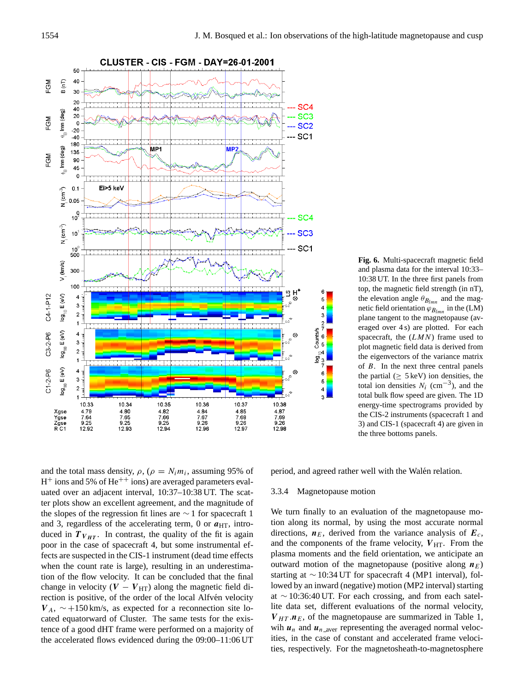

**Fig. 6.** Multi-spacecraft magnetic field and plasma data for the interval 10:33– 10:38 UT. In the three first panels from top, the magnetic field strength (in nT), the elevation angle  $\theta_{B_{lmn}}$  and the magnetic field orientation  $\varphi_{B_{lmn}}$  in the (LM) plane tangent to the magnetopause (averaged over 4 s) are plotted. For each spacecraft, the  $(LMN)$  frame used to plot magnetic field data is derived from the eigenvectors of the variance matrix of  $B$ . In the next three central panels the partial ( $\geq$  5 keV) ion densities, the total ion densities  $N_i$  (cm<sup>-3</sup>), and the total bulk flow speed are given. The 1D energy-time spectrograms provided by the CIS-2 instruments (spacecraft 1 and 3) and CIS-1 (spacecraft 4) are given in the three bottoms panels.

and the total mass density,  $\rho$ ,  $(\rho = N_i m_i)$ , assuming 95% of H<sup>+</sup> ions and 5% of He<sup>++</sup> ions) are averaged parameters evaluated over an adjacent interval, 10:37–10:38 UT. The scatter plots show an excellent agreement, and the magnitude of the slopes of the regression fit lines are ∼ 1 for spacecraft 1 and 3, regardless of the accelerating term, 0 or  $a_{\text{HT}}$ , introduced in  $T_{V_{HT}}$ . In contrast, the quality of the fit is again poor in the case of spacecraft 4, but some instrumental effects are suspected in the CIS-1 instrument (dead time effects when the count rate is large), resulting in an underestimation of the flow velocity. It can be concluded that the final change in velocity ( $V - V_{\text{HT}}$ ) along the magnetic field direction is positive, of the order of the local Alfvén velocity  $V_A$ , ~+150 km/s, as expected for a reconnection site located equatorward of Cluster. The same tests for the existence of a good dHT frame were performed on a majority of the accelerated flows evidenced during the 09:00–11:06 UT period, and agreed rather well with the Walén relation.

#### 3.3.4 Magnetopause motion

We turn finally to an evaluation of the magnetopause motion along its normal, by using the most accurate normal directions,  $n_E$ , derived from the variance analysis of  $E_c$ , and the components of the frame velocity,  $V_{\text{HT}}$ . From the plasma moments and the field orientation, we anticipate an outward motion of the magnetopause (positive along  $n_E$ ) starting at ∼ 10:34 UT for spacecraft 4 (MP1 interval), followed by an inward (negative) motion (MP2 interval) starting at ∼ 10:36:40 UT. For each crossing, and from each satellite data set, different evaluations of the normal velocity,  $V_{HT} \nleq n_E$ , of the magnetopause are summarized in Table 1, wih  $u_n$  and  $u_{n-aver}$  representing the averaged normal velocities, in the case of constant and accelerated frame velocities, respectively. For the magnetosheath-to-magnetosphere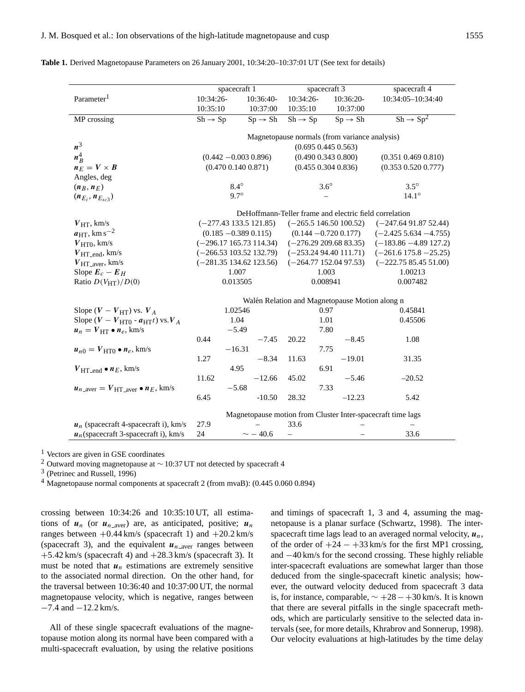|                                                                           | spacecraft 1                                           |                     | spacecraft 3               |                     | spacecraft 4                     |  |  |  |
|---------------------------------------------------------------------------|--------------------------------------------------------|---------------------|----------------------------|---------------------|----------------------------------|--|--|--|
| Parameter <sup>1</sup>                                                    | 10:34:26-                                              | 10:36:40-           | 10:34:26-                  | 10:36:20-           | 10:34:05-10:34:40                |  |  |  |
|                                                                           | 10:35:10                                               | 10:37:00            | 10:35:10                   | 10:37:00            |                                  |  |  |  |
| MP crossing                                                               | $Sh \rightarrow Sp$                                    | $Sp \rightarrow Sh$ | $Sh \rightarrow Sp$        | $Sp \rightarrow Sh$ | $\overline{Sh \rightarrow Sp^2}$ |  |  |  |
|                                                                           |                                                        |                     |                            |                     |                                  |  |  |  |
|                                                                           | Magnetopause normals (from variance analysis)          |                     |                            |                     |                                  |  |  |  |
| $n^3$                                                                     | $(0.695\ 0.445\ 0.563)$                                |                     |                            |                     |                                  |  |  |  |
| $n_B^4$                                                                   | $(0.442 - 0.003 0.896)$                                |                     | $(0.490\ 0.343\ 0.800)$    |                     | $(0.351\ 0.469\ 0.810)$          |  |  |  |
| $n_E = V \times B$                                                        | $(0.470\ 0.140\ 0.871)$                                |                     | $(0.455\ 0.304\ 0.836)$    |                     | $(0.353\ 0.520\ 0.777)$          |  |  |  |
| Angles, deg                                                               |                                                        |                     |                            |                     |                                  |  |  |  |
| $(n_B, n_E)$                                                              | $8.4^\circ$                                            |                     | $3.6^\circ$                |                     | $3.5^\circ$                      |  |  |  |
| $(n_{E_i}, n_{E_{sc3}})$                                                  | $9.7^\circ$                                            |                     |                            |                     | $14.1^\circ$                     |  |  |  |
|                                                                           | DeHoffmann-Teller frame and electric field correlation |                     |                            |                     |                                  |  |  |  |
|                                                                           |                                                        |                     |                            |                     | $(-247.6491.8752.44)$            |  |  |  |
| $V_{\text{HT}}$ , km/s<br>$a_{\text{HT}}$ , km s <sup>-2</sup>            | $(-277.43133.5121.85)$                                 |                     | $(-265.5146.50100.52)$     |                     |                                  |  |  |  |
|                                                                           | $(0.185 - 0.389 0.115)$                                |                     | $(0.144 - 0.720 0.177)$    |                     | $(-2.425\,5.634\,-4.755)$        |  |  |  |
| $V_{\text{HT}0}$ , km/s                                                   | $(-296.17165.73114.34)$                                |                     | $(-276.29\ 209.68\ 83.35)$ |                     | $(-183.86 - 4.89 127.2)$         |  |  |  |
| $V_{\text{HT\_end}}, \text{km/s}$                                         | $(-266.53103.52132.79)$                                |                     | $(-253.2494.40111.71)$     |                     | $(-261.6175.8 - 25.25)$          |  |  |  |
| $V_{\text{HT}\_ \text{aver}}, \text{km/s}$                                | $(-281.35134.62123.56)$<br>1.007                       |                     | $(-264.77152.0497.53)$     |                     | $(-222.7585.4551.00)$            |  |  |  |
| Slope $E_c - E_H$<br>Ratio $D(V_{\text{HT}})/D(0)$                        | 0.013505                                               |                     | 1.003                      |                     | 1.00213<br>0.007482              |  |  |  |
|                                                                           |                                                        |                     | 0.008941                   |                     |                                  |  |  |  |
|                                                                           | Walén Relation and Magnetopause Motion along n         |                     |                            |                     |                                  |  |  |  |
| Slope $(V - V_{\text{HT}})$ vs. $V_A$                                     | 1.02546                                                |                     | 0.97                       |                     | 0.45841                          |  |  |  |
| Slope $(V - VHT0 - aHTt)$ vs. $VA$                                        | 1.04                                                   |                     | 1.01                       |                     | 0.45506                          |  |  |  |
| $u_n = V_{\text{HT}} \bullet n_e, \text{km/s}$                            | $-5.49$                                                |                     | 7.80                       |                     |                                  |  |  |  |
|                                                                           | 0.44                                                   | $-7.45$             | 20.22                      | $-8.45$             | 1.08                             |  |  |  |
| $u_{n0} = V_{\text{HT}0} \bullet n_e, \text{km/s}$                        |                                                        | $-16.31$            |                            | 7.75                |                                  |  |  |  |
|                                                                           | 1.27                                                   | $-8.34$             | 11.63                      | $-19.01$            | 31.35                            |  |  |  |
| $V_{\text{HT\_end}} \bullet n_E, \text{km/s}$                             |                                                        | 4.95                |                            | 6.91                |                                  |  |  |  |
|                                                                           | 11.62                                                  | $-12.66$            | 45.02                      | $-5.46$             | $-20.52$                         |  |  |  |
| $u_{n\text{-aver}} = V_{\text{HT}\text{-aver}} \bullet n_E, \text{ km/s}$ |                                                        | $-5.68$             |                            | 7.33                |                                  |  |  |  |
|                                                                           | 6.45                                                   | $-10.50$            | 28.32                      | $-12.23$            | 5.42                             |  |  |  |
| Magnetopause motion from Cluster Inter-spacecraft time lags               |                                                        |                     |                            |                     |                                  |  |  |  |
| $u_n$ (spacecraft 4-spacecraft i), km/s                                   | 27.9                                                   |                     | 33.6                       |                     |                                  |  |  |  |
| $u_n$ (spacecraft 3-spacecraft i), km/s                                   | 24                                                     | $\sim$ -40.6        | $\overline{\phantom{0}}$   |                     | 33.6                             |  |  |  |

<sup>1</sup> Vectors are given in GSE coordinates

<sup>2</sup> Outward moving magnetopause at  $\sim$  10:37 UT not detected by spacecraft 4

3 (Petrinec and Russell, 1996)

<sup>4</sup> Magnetopause normal components at spacecraft 2 (from mvaB): (0.445 0.060 0.894)

crossing between 10:34:26 and 10:35:10 UT, all estimations of  $u_n$  (or  $u_{n_{\text{layer}}}$ ) are, as anticipated, positive;  $u_n$ ranges between  $+0.44$  km/s (spacecraft 1) and  $+20.2$  km/s (spacecraft 3), and the equivalent  $u_{n}$ <sub>-aver</sub> ranges between  $+5.42$  km/s (spacecraft 4) and  $+28.3$  km/s (spacecraft 3). It must be noted that  $u_n$  estimations are extremely sensitive to the associated normal direction. On the other hand, for the traversal between 10:36:40 and 10:37:00 UT, the normal magnetopause velocity, which is negative, ranges between −7.4 and −12.2 km/s.

All of these single spacecraft evaluations of the magnetopause motion along its normal have been compared with a multi-spacecraft evaluation, by using the relative positions and timings of spacecraft 1, 3 and 4, assuming the magnetopause is a planar surface (Schwartz, 1998). The interspacecraft time lags lead to an averaged normal velocity,  $u_n$ , of the order of  $+24 - +33$  km/s for the first MP1 crossing, and −40 km/s for the second crossing. These highly reliable inter-spacecraft evaluations are somewhat larger than those deduced from the single-spacecraft kinetic analysis; however, the outward velocity deduced from spacecraft 3 data is, for instance, comparable,  $\sim +28 - +30$  km/s. It is known that there are several pitfalls in the single spacecraft methods, which are particularly sensitive to the selected data intervals (see, for more details, Khrabrov and Sonnerup, 1998). Our velocity evaluations at high-latitudes by the time delay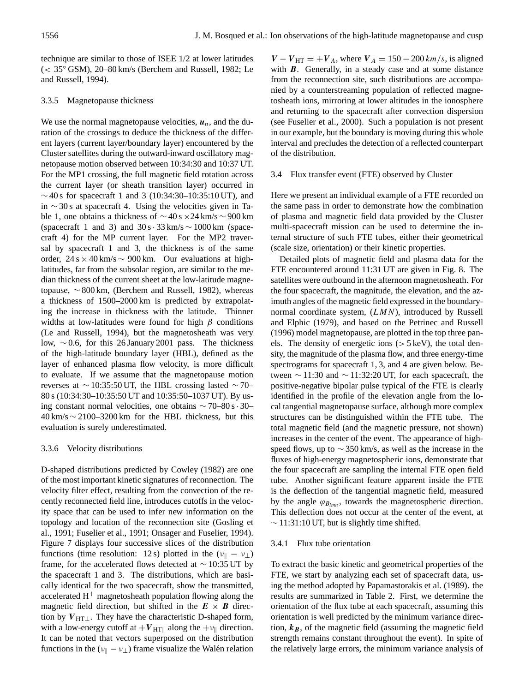technique are similar to those of ISEE 1/2 at lower latitudes (< 35◦ GSM), 20–80 km/s (Berchem and Russell, 1982; Le and Russell, 1994).

# 3.3.5 Magnetopause thickness

We use the normal magnetopause velocities,  $u_n$ , and the duration of the crossings to deduce the thickness of the different layers (current layer/boundary layer) encountered by the Cluster satellites during the outward-inward oscillatory magnetopause motion observed between 10:34:30 and 10:37 UT. For the MP1 crossing, the full magnetic field rotation across the current layer (or sheath transition layer) occurred in  $\sim$  40 s for spacecraft 1 and 3 (10:34:30–10:35:10 UT), and in ∼ 30 s at spacecraft 4. Using the velocities given in Table 1, one obtains a thickness of ∼ 40 s ×24 km/s ∼ 900 km (spacecraft 1 and 3) and  $30 s \cdot 33 km/s \sim 1000 km$  (spacecraft 4) for the MP current layer. For the MP2 traversal by spacecraft 1 and 3, the thickness is of the same order, 24 s × 40 km/s ∼ 900 km. Our evaluations at highlatitudes, far from the subsolar region, are similar to the median thickness of the current sheet at the low-latitude magnetopause, ∼ 800 km, (Berchem and Russell, 1982), whereas a thickness of 1500–2000 km is predicted by extrapolating the increase in thickness with the latitude. Thinner widths at low-latitudes were found for high  $\beta$  conditions (Le and Russell, 1994), but the magnetosheath was very low, ∼ 0.6, for this 26 January 2001 pass. The thickness of the high-latitude boundary layer (HBL), defined as the layer of enhanced plasma flow velocity, is more difficult to evaluate. If we assume that the magnetopause motion reverses at ∼ 10:35:50 UT, the HBL crossing lasted ∼ 70– 80 s (10:34:30–10:35:50 UT and 10:35:50–1037 UT). By using constant normal velocities, one obtains ∼ 70–80 s· 30–  $40 \text{ km/s} \sim 2100 - 3200 \text{ km}$  for the HBL thickness, but this evaluation is surely underestimated.

# 3.3.6 Velocity distributions

D-shaped distributions predicted by Cowley (1982) are one of the most important kinetic signatures of reconnection. The velocity filter effect, resulting from the convection of the recently reconnected field line, introduces cutoffs in the velocity space that can be used to infer new information on the topology and location of the reconnection site (Gosling et al., 1991; Fuselier et al., 1991; Onsager and Fuselier, 1994). Figure 7 displays four successive slices of the distribution functions (time resolution: 12 s) plotted in the  $(v_{\parallel} - v_{\perp})$ frame, for the accelerated flows detected at  $\sim$  10:35 UT by the spacecraft 1 and 3. The distributions, which are basically identical for the two spacecraft, show the transmitted, accelerated  $H<sup>+</sup>$  magnetosheath population flowing along the magnetic field direction, but shifted in the  $E \times B$  direction by  $V_{\text{HT}\perp}$ . They have the characteristic D-shaped form, with a low-energy cutoff at  $+V_{\text{HT}\parallel}$  along the  $+v_{\parallel}$  direction. It can be noted that vectors superposed on the distribution functions in the ( $v_{\parallel} - v_{\perp}$ ) frame visualize the Walén relation

 $V - V_{\text{HT}} = +V_A$ , where  $V_A = 150 - 200 \text{ km/s}$ , is aligned with  $\bm{B}$ . Generally, in a steady case and at some distance from the reconnection site, such distributions are accompanied by a counterstreaming population of reflected magnetosheath ions, mirroring at lower altitudes in the ionosphere and returning to the spacecraft after convection dispersion (see Fuselier et al., 2000). Such a population is not present in our example, but the boundary is moving during this whole interval and precludes the detection of a reflected counterpart of the distribution.

### 3.4 Flux transfer event (FTE) observed by Cluster

Here we present an individual example of a FTE recorded on the same pass in order to demonstrate how the combination of plasma and magnetic field data provided by the Cluster multi-spacecraft mission can be used to determine the internal structure of such FTE tubes, either their geometrical (scale size, orientation) or their kinetic properties.

Detailed plots of magnetic field and plasma data for the FTE encountered around 11:31 UT are given in Fig. 8. The satellites were outbound in the afternoon magnetosheath. For the four spacecraft, the magnitude, the elevation, and the azimuth angles of the magnetic field expressed in the boundarynormal coordinate system, (LMN), introduced by Russell and Elphic (1979), and based on the Petrinec and Russell (1996) model magnetopause, are plotted in the top three panels. The density of energetic ions  $(> 5 \text{ keV})$ , the total density, the magnitude of the plasma flow, and three energy-time spectrograms for spacecraft 1, 3, and 4 are given below. Between  $\sim$  11:30 and  $\sim$  11:32:20 UT, for each spacecraft, the positive-negative bipolar pulse typical of the FTE is clearly identified in the profile of the elevation angle from the local tangential magnetopause surface, although more complex structures can be distinguished within the FTE tube. The total magnetic field (and the magnetic pressure, not shown) increases in the center of the event. The appearance of highspeed flows, up to  $\sim$  350 km/s, as well as the increase in the fluxes of high-energy magnetospheric ions, demonstrate that the four spacecraft are sampling the internal FTE open field tube. Another significant feature apparent inside the FTE is the deflection of the tangential magnetic field, measured by the angle  $\varphi_{B_{lmn}}$ , towards the magnetospheric direction. This deflection does not occur at the center of the event, at  $\sim$  11:31:10 UT, but is slightly time shifted.

### 3.4.1 Flux tube orientation

To extract the basic kinetic and geometrical properties of the FTE, we start by analyzing each set of spacecraft data, using the method adopted by Papamastorakis et al. (1989). the results are summarized in Table 2. First, we determine the orientation of the flux tube at each spacecraft, assuming this orientation is well predicted by the minimum variance direction,  $k_B$ , of the magnetic field (assuming the magnetic field strength remains constant throughout the event). In spite of the relatively large errors, the minimum variance analysis of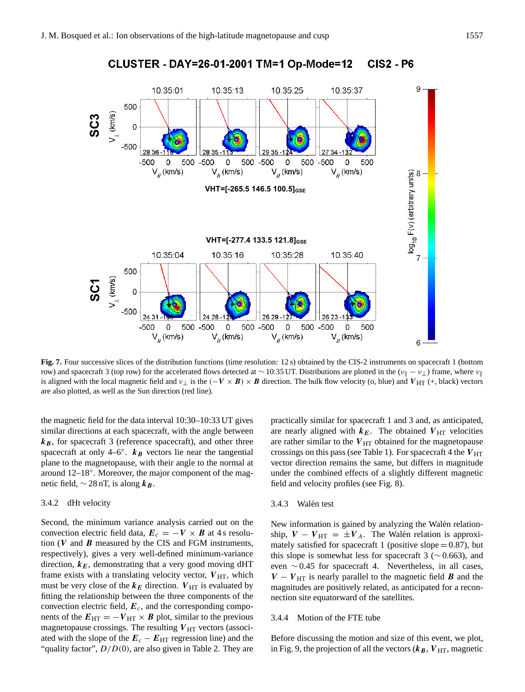

CLUSTER - DAY=26-01-2001 TM=1 Op-Mode=12 **CIS2 - P6** 

Fig. 7. Four successive slices of the distribution functions (time resolution: 12 s) obtained by the CIS-2 instruments on spacecraft 1 (bottom row) and spacecraft 3 (top row) for the accelerated flows detected at ~ 10:35 UT. Distributions are plotted in the ( $v_{\parallel} - v_{\perp}$ ) frame, where  $v_{\parallel}$ is aligned with the local magnetic field and  $v_{\perp}$  is the  $(-V \times B) \times B$  direction. The bulk flow velocity (o, blue) and  $V_{\text{HT}}$  (+, black) vectors are also plotted, as well as the Sun direction (red line).

the magnetic field for the data interval 10:30–10:33 UT gives similar directions at each spacecraft, with the angle between  $k_B$ , for spacecraft 3 (reference spacecraft), and other three spacecraft at only 4–6°.  $k_B$  vectors lie near the tangential plane to the magnetopause, with their angle to the normal at around 12–18°. Moreover, the major component of the magnetic field,  $\sim$  28 nT, is along  $k_B$ .

# 3.4.2 dHt velocity

Second, the minimum variance analysis carried out on the convection electric field data,  $E_c = -V \times B$  at 4 s resolution  $(V$  and  $B$  measured by the CIS and FGM instruments, respectively), gives a very well-defined minimum-variance direction,  $k_E$ , demonstrating that a very good moving dHT frame exists with a translating velocity vector,  $V_{\text{HT}}$ , which must be very close of the  $k_E$  direction.  $V_{\text{HT}}$  is evaluated by fitting the relationship between the three components of the convection electric field,  $E_c$ , and the corresponding components of the  $E_{\text{HT}} = -V_{\text{HT}} \times B$  plot, similar to the previous magnetopause crossings. The resulting  $V_{\text{HT}}$  vectors (associated with the slope of the  $E_c - E_{\text{HT}}$  regression line) and the "quality factor",  $D/D(0)$ , are also given in Table 2. They are practically similar for spacecraft 1 and 3 and, as anticipated, are nearly aligned with  $k_E$ . The obtained  $V_{\text{HT}}$  velocities are rather similar to the  $V_{\text{HT}}$  obtained for the magnetopause crossings on this pass (see Table 1). For spacecraft 4 the  $V_{\text{HT}}$ vector direction remains the same, but differs in magnitude under the combined effects of a slightly different magnetic field and velocity profiles (see Fig. 8).

# 3.4.3 Walén test

New information is gained by analyzing the Walén relationship,  $V - V_{\text{HT}} = \pm V_A$ . The Walén relation is approximately satisfied for spacecraft 1 (positive slope  $= 0.87$ ), but this slope is somewhat less for spacecraft 3 ( $\sim$  0.663), and even ∼ 0.45 for spacecraft 4. Nevertheless, in all cases,  $V - V_{\text{HT}}$  is nearly parallel to the magnetic field **B** and the magnitudes are positively related, as anticipated for a reconnection site equatorward of the satellites.

#### 3.4.4 Motion of the FTE tube

Before discussing the motion and size of this event, we plot, in Fig. 9, the projection of all the vectors  $(k_B, V_{HT})$ , magnetic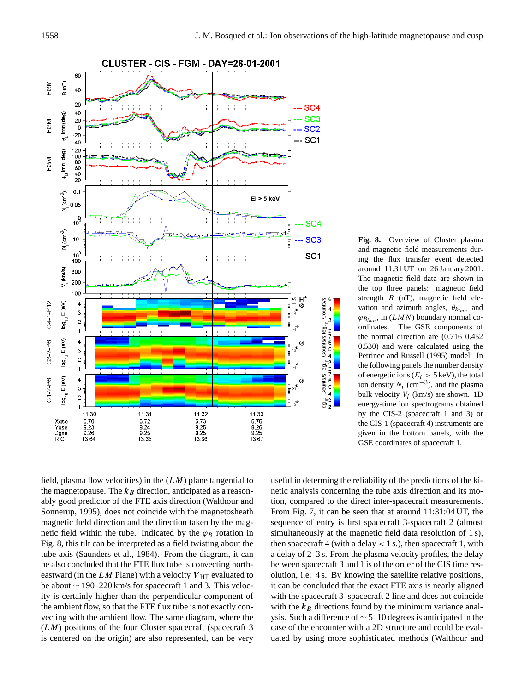

**Fig. 8.** Overview of Cluster plasma and magnetic field measurements during the flux transfer event detected around 11:31 UT on 26 January 2001. The magnetic field data are shown in the top three panels: magnetic field strength  $B$  (nT), magnetic field elevation and azimuth angles,  $\theta_{b_{lmn}}$  and  $\varphi_{B_{lmn}}$ , in  $(LMN)$  boundary normal coordinates. The GSE components of the normal direction are (0.716 0.452 0.530) and were calculated using the Petrinec and Russell (1995) model. In the following panels the number density of energetic ions ( $E_i > 5 \text{ keV}$ ), the total ion density  $N_i$  (cm<sup>-3</sup>), and the plasma bulk velocity  $V_i$  (km/s) are shown. 1D energy-time ion spectrograms obtained by the CIS-2 (spacecraft 1 and 3) or the CIS-1 (spacecraft 4) instruments are given in the bottom panels, with the GSE coordinates of spacecraft 1.

field, plasma flow velocities) in the  $(LM)$  plane tangential to the magnetopause. The  $k_B$  direction, anticipated as a reasonably good predictor of the FTE axis direction (Walthour and Sonnerup, 1995), does not coincide with the magnetosheath magnetic field direction and the direction taken by the magnetic field within the tube. Indicated by the  $\varphi_B$  rotation in Fig. 8, this tilt can be interpreted as a field twisting about the tube axis (Saunders et al., 1984). From the diagram, it can be also concluded that the FTE flux tube is convecting northeastward (in the LM Plane) with a velocity  $V_{\text{HT}}$  evaluated to be about ∼ 190–220 km/s for spacecraft 1 and 3. This velocity is certainly higher than the perpendicular component of the ambient flow, so that the FTE flux tube is not exactly convecting with the ambient flow. The same diagram, where the  $(LM)$  positions of the four Cluster spacecraft (spacecraft 3) is centered on the origin) are also represented, can be very useful in determing the reliability of the predictions of the kinetic analysis concerning the tube axis direction and its motion, compared to the direct inter-spacecraft measurements. From Fig. 7, it can be seen that at around 11:31:04 UT, the sequence of entry is first spacecraft 3-spacecraft 2 (almost simultaneously at the magnetic field data resolution of 1 s), then spacecraft 4 (with a delay  $< 1$  s.), then spacecraft 1, with a delay of 2–3 s. From the plasma velocity profiles, the delay between spacecraft 3 and 1 is of the order of the CIS time resolution, i.e. 4 s. By knowing the satellite relative positions, it can be concluded that the exact FTE axis is nearly aligned with the spacecraft 3–spacecraft 2 line and does not coincide with the  $k_B$  directions found by the minimum variance analysis. Such a difference of ∼ 5–10 degrees is anticipated in the case of the encounter with a 2D structure and could be evaluated by using more sophisticated methods (Walthour and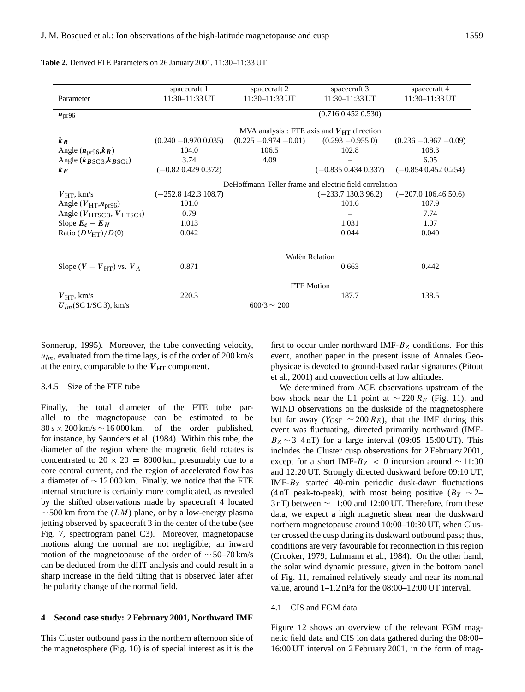|                                                | spacecraft 1                                           | spacecraft 2                                   | spacecraft 3             | spacecraft 4             |  |  |  |
|------------------------------------------------|--------------------------------------------------------|------------------------------------------------|--------------------------|--------------------------|--|--|--|
| Parameter                                      | 11:30-11:33 UT                                         | 11:30-11:33 UT                                 | $11:30 - 11:33$ UT       | 11:30-11:33 UT           |  |  |  |
| $n_{\text{pr96}}$                              | $(0.716\ 0.452\ 0.530)$                                |                                                |                          |                          |  |  |  |
|                                                |                                                        | MVA analysis : FTE axis and $V_{HT}$ direction |                          |                          |  |  |  |
| $k_B$                                          | $(0.240 - 0.970 0.035)$                                | $(0.225 - 0.974 - 0.01)$                       | $(0.293 - 0.955)$        | $(0.236 - 0.967 - 0.09)$ |  |  |  |
| Angle $(n_{\text{pr}}96, k_B)$                 | 104.0                                                  | 106.5                                          | 102.8                    | 108.3                    |  |  |  |
| Angle $(k_{BSC3}, k_{BSC1})$                   | 3.74                                                   | 4.09                                           |                          | 6.05                     |  |  |  |
| $k_E$                                          | $(-0.82\ 0.429\ 0.372)$                                |                                                | $(-0.835\ 0.434\ 0.337)$ | $(-0.854 0.452 0.254)$   |  |  |  |
|                                                | DeHoffmann-Teller frame and electric field correlation |                                                |                          |                          |  |  |  |
| $V_{\text{HT}}$ , km/s                         | $(-252.8142.3108.7)$                                   |                                                | $(-233.7130.396.2)$      | $(-207.0106.4650.6)$     |  |  |  |
| Angle ( $V_{\text{HT}}$ , $n_{\text{pr96}}$ )  | 101.0                                                  |                                                | 101.6                    | 107.9                    |  |  |  |
| Angle $(V_{\text{HTSC 3}}, V_{\text{HTSC i}})$ | 0.79                                                   |                                                |                          | 7.74                     |  |  |  |
| Slope $E_c - E_H$                              | 1.013                                                  |                                                | 1.031                    | 1.07                     |  |  |  |
| Ratio $(DV_{HT})/D(0)$                         | 0.042                                                  |                                                | 0.044                    | 0.040                    |  |  |  |
|                                                | Walén Relation                                         |                                                |                          |                          |  |  |  |
| Slope $(V - V_{HT})$ vs. $V_A$                 | 0.871                                                  |                                                | 0.663                    | 0.442                    |  |  |  |
|                                                | <b>FTE</b> Motion                                      |                                                |                          |                          |  |  |  |
| $V_{\text{HT}}$ , km/s                         | 220.3                                                  |                                                | 187.7                    | 138.5                    |  |  |  |
| $U_{lm}$ (SC 1/SC 3), km/s                     | $600/3 \sim 200$                                       |                                                |                          |                          |  |  |  |

#### **Table 2.** Derived FTE Parameters on 26 January 2001, 11:30–11:33 UT

Sonnerup, 1995). Moreover, the tube convecting velocity,  $u_{lm}$ , evaluated from the time lags, is of the order of 200 km/s at the entry, comparable to the  $V_{\text{HT}}$  component.

#### 3.4.5 Size of the FTE tube

Finally, the total diameter of the FTE tube parallel to the magnetopause can be estimated to be  $80 s \times 200 km/s \sim 16000 km$ , of the order published, for instance, by Saunders et al. (1984). Within this tube, the diameter of the region where the magnetic field rotates is concentrated to  $20 \times 20 = 8000 \text{ km}$ , presumably due to a core central current, and the region of accelerated flow has a diameter of  $\sim$  12 000 km. Finally, we notice that the FTE internal structure is certainly more complicated, as revealed by the shifted observations made by spacecraft 4 located  $\sim$  500 km from the (LM) plane, or by a low-energy plasma jetting observed by spacecraft 3 in the center of the tube (see Fig. 7, spectrogram panel C3). Moreover, magnetopause motions along the normal are not negligible; an inward motion of the magnetopause of the order of  $\sim$  50–70 km/s can be deduced from the dHT analysis and could result in a sharp increase in the field tilting that is observed later after the polarity change of the normal field.

#### **4 Second case study: 2 February 2001, Northward IMF**

This Cluster outbound pass in the northern afternoon side of the magnetosphere (Fig. 10) is of special interest as it is the

first to occur under northward IMF- $B_Z$  conditions. For this event, another paper in the present issue of Annales Geophysicae is devoted to ground-based radar signatures (Pitout et al., 2001) and convection cells at low altitudes.

We determined from ACE observations upstream of the bow shock near the L1 point at  $\sim$  220 R<sub>E</sub> (Fig. 11), and WIND observations on the duskside of the magnetosphere but far away ( $Y_{\text{GSE}} \sim 200 R_E$ ), that the IMF during this event was fluctuating, directed primarily northward (IMF- $B_Z \sim 3-4$  nT) for a large interval (09:05–15:00 UT). This includes the Cluster cusp observations for 2 February 2001, except for a short IMF- $B_Z$  < 0 incursion around ~11:30 and 12:20 UT. Strongly directed duskward before 09:10 UT, IMF- $B_Y$  started 40-min periodic dusk-dawn fluctuations (4 nT peak-to-peak), with most being positive ( $B<sub>Y</sub> \sim 2$ – 3 nT) between ∼ 11:00 and 12:00 UT. Therefore, from these data, we expect a high magnetic shear near the duskward northern magnetopause around 10:00–10:30 UT, when Cluster crossed the cusp during its duskward outbound pass; thus, conditions are very favourable for reconnection in this region (Crooker, 1979; Luhmann et al., 1984). On the other hand, the solar wind dynamic pressure, given in the bottom panel of Fig. 11, remained relatively steady and near its nominal value, around 1–1.2 nPa for the 08:00–12:00 UT interval.

## 4.1 CIS and FGM data

Figure 12 shows an overview of the relevant FGM magnetic field data and CIS ion data gathered during the 08:00– 16:00 UT interval on 2 February 2001, in the form of mag-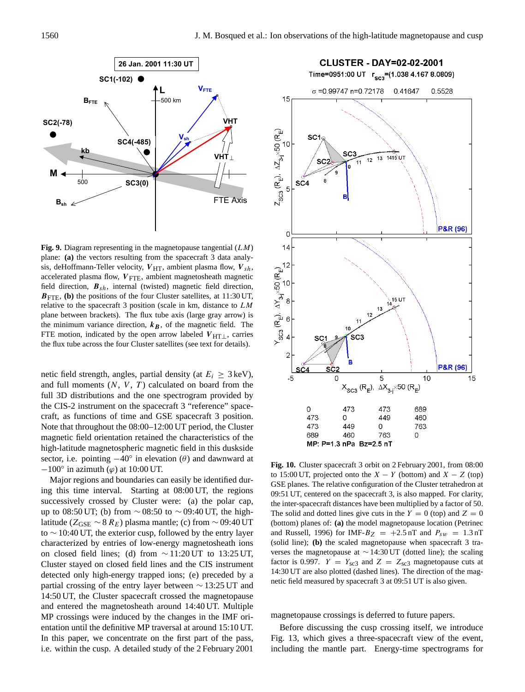

**Fig. 9.** Diagram representing in the magnetopause tangential (LM) plane: **(a)** the vectors resulting from the spacecraft 3 data analysis, deHoffmann-Teller velocity,  $V_{\text{HT}}$ , ambient plasma flow,  $V_{sh}$ , accelerated plasma flow,  $V_{\text{FTE}}$ , ambient magnetosheath magnetic field direction,  $B_{sh}$ , internal (twisted) magnetic field direction,  $B_{\text{FTE}}$ , (b) the positions of the four Cluster satellites, at 11:30 UT, relative to the spacecraft 3 position (scale in km, distance to LM plane between brackets). The flux tube axis (large gray arrow) is the minimum variance direction,  $k_B$ , of the magnetic field. The FTE motion, indicated by the open arrow labeled  $V_{\text{HT}\perp}$ , carries the flux tube across the four Cluster satellites (see text for details).

netic field strength, angles, partial density (at  $E_i \geq 3 \,\text{keV}$ ), and full moments  $(N, V, T)$  calculated on board from the full 3D distributions and the one spectrogram provided by the CIS-2 instrument on the spacecraft 3 "reference" spacecraft, as functions of time and GSE spacecraft 3 position. Note that throughout the 08:00–12:00 UT period, the Cluster magnetic field orientation retained the characteristics of the high-latitude magnetospheric magnetic field in this duskside sector, i.e. pointing  $-40^\circ$  in elevation ( $\theta$ ) and dawnward at  $-100^\circ$  in azimuth ( $\varphi$ ) at 10:00 UT.

Major regions and boundaries can easily be identified during this time interval. Starting at 08:00 UT, the regions successively crossed by Cluster were: (a) the polar cap, up to 08:50 UT; (b) from  $\sim$  08:50 to  $\sim$  09:40 UT, the highlatitude ( $Z_{GSE}$  ∼ 8  $R_E$ ) plasma mantle; (c) from ∼ 09:40 UT to ∼ 10:40 UT, the exterior cusp, followed by the entry layer characterized by entries of low-energy magnetosheath ions on closed field lines; (d) from  $\sim$  11:20 UT to 13:25 UT, Cluster stayed on closed field lines and the CIS instrument detected only high-energy trapped ions; (e) preceded by a partial crossing of the entry layer between ∼ 13:25 UT and 14:50 UT, the Cluster spacecraft crossed the magnetopause and entered the magnetosheath around 14:40 UT. Multiple MP crossings were induced by the changes in the IMF orientation until the definitive MP traversal at around 15:10 UT. In this paper, we concentrate on the first part of the pass, i.e. within the cusp. A detailed study of the 2 February 2001



**Fig. 10.** Cluster spacecraft 3 orbit on 2 February 2001, from 08:00 to 15:00 UT, projected onto the  $X - Y$  (bottom) and  $X - Z$  (top) GSE planes. The relative configuration of the Cluster tetrahedron at 09:51 UT, centered on the spacecraft 3, is also mapped. For clarity, the inter-spacecraft distances have been multiplied by a factor of 50. The solid and dotted lines give cuts in the  $Y = 0$  (top) and  $Z = 0$ (bottom) planes of: **(a)** the model magnetopause location (Petrinec and Russell, 1996) for IMF- $B_Z$  = +2.5 nT and  $P_{sw}$  = 1.3 nT (solid line); **(b)** the scaled magnetopause when spacecraft 3 traverses the magnetopause at ∼ 14:30 UT (dotted line); the scaling factor is 0.997.  $Y = Y_{\text{sc3}}$  and  $Z = Z_{\text{sc3}}$  magnetopause cuts at 14:30 UT are also plotted (dashed lines). The direction of the magnetic field measured by spacecraft 3 at 09:51 UT is also given.

magnetopause crossings is deferred to future papers.

Before discussing the cusp crossing itself, we introduce Fig. 13, which gives a three-spacecraft view of the event, including the mantle part. Energy-time spectrograms for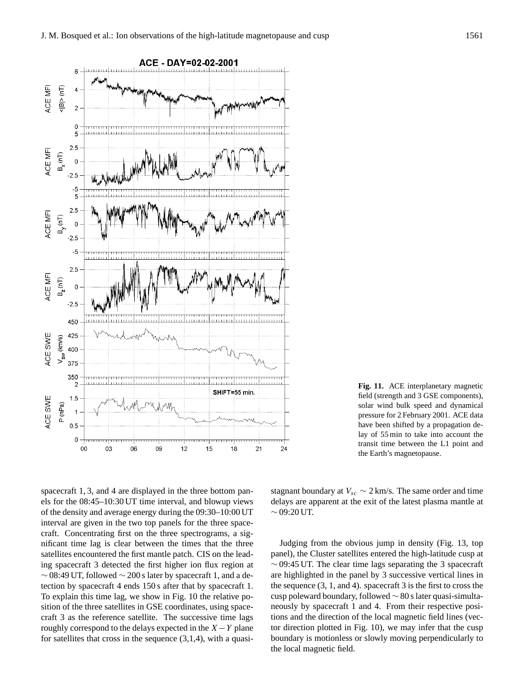

**Fig. 11.** ACE interplanetary magnetic field (strength and 3 GSE components), solar wind bulk speed and dynamical pressure for 2 February 2001. ACE data have been shifted by a propagation delay of 55 min to take into account the transit time between the L1 point and the Earth's magnetopause.

spacecraft 1, 3, and 4 are displayed in the three bottom panels for the 08:45–10:30 UT time interval, and blowup views of the density and average energy during the 09:30–10:00 UT interval are given in the two top panels for the three spacecraft. Concentrating first on the three spectrograms, a significant time lag is clear between the times that the three satellites encountered the first mantle patch. CIS on the leading spacecraft 3 detected the first higher ion flux region at  $\sim$  08:49 UT, followed  $\sim$  200 s later by spacecraft 1, and a detection by spacecraft 4 ends 150 s after that by spacecraft 1. To explain this time lag, we show in Fig. 10 the relative position of the three satellites in GSE coordinates, using spacecraft 3 as the reference satellite. The successive time lags roughly correspond to the delays expected in the  $X - Y$  plane for satellites that cross in the sequence  $(3,1,4)$ , with a quasistagnant boundary at  $V_{sc} \sim 2 \text{ km/s}$ . The same order and time delays are apparent at the exit of the latest plasma mantle at  $~\sim$  09:20 UT.

Judging from the obvious jump in density (Fig. 13, top panel), the Cluster satellites entered the high-latitude cusp at  $\sim$  09:45 UT. The clear time lags separating the 3 spacecraft are highlighted in the panel by 3 successive vertical lines in the sequence (3, 1, and 4). spacecraft 3 is the first to cross the cusp poleward boundary, followed ∼ 80 s later quasi-simultaneously by spacecraft 1 and 4. From their respective positions and the direction of the local magnetic field lines (vector direction plotted in Fig. 10), we may infer that the cusp boundary is motionless or slowly moving perpendicularly to the local magnetic field.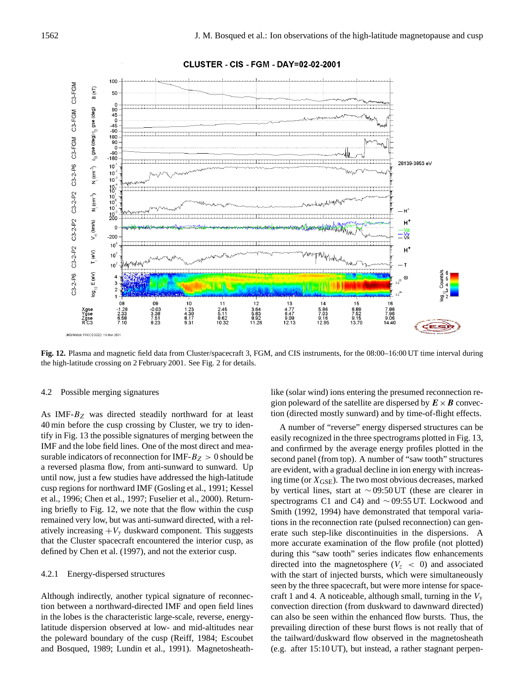

CLUSTER - CIS - FGM - DAY=02-02-2001

**Fig. 12.** Plasma and magnetic field data from Cluster/spacecraft 3, FGM, and CIS instruments, for the 08:00–16:00 UT time interval during the high-latitude crossing on 2 February 2001. See Fig. 2 for details.

# 4.2 Possible merging signatures

As IMF- $B_Z$  was directed steadily northward for at least 40 min before the cusp crossing by Cluster, we try to identify in Fig. 13 the possible signatures of merging between the IMF and the lobe field lines. One of the most direct and measurable indicators of reconnection for IMF- $B_Z > 0$  should be a reversed plasma flow, from anti-sunward to sunward. Up until now, just a few studies have addressed the high-latitude cusp regions for northward IMF (Gosling et al., 1991; Kessel et al., 1996; Chen et al., 1997; Fuselier et al., 2000). Returning briefly to Fig. 12, we note that the flow within the cusp remained very low, but was anti-sunward directed, with a relatively increasing  $+V_y$  duskward component. This suggests that the Cluster spacecraft encountered the interior cusp, as defined by Chen et al. (1997), and not the exterior cusp.

# 4.2.1 Energy-dispersed structures

Although indirectly, another typical signature of reconnection between a northward-directed IMF and open field lines in the lobes is the characteristic large-scale, reverse, energylatitude dispersion observed at low- and mid-altitudes near the poleward boundary of the cusp (Reiff, 1984; Escoubet and Bosqued, 1989; Lundin et al., 1991). Magnetosheathlike (solar wind) ions entering the presumed reconnection region poleward of the satellite are dispersed by  $E \times B$  convection (directed mostly sunward) and by time-of-flight effects.

A number of "reverse" energy dispersed structures can be easily recognized in the three spectrograms plotted in Fig. 13, and confirmed by the average energy profiles plotted in the second panel (from top). A number of "saw tooth" structures are evident, with a gradual decline in ion energy with increasing time (or  $X_{\text{GSE}}$ ). The two most obvious decreases, marked by vertical lines, start at ∼ 09:50 UT (these are clearer in spectrograms C1 and C4) and ∼ 09:55 UT. Lockwood and Smith (1992, 1994) have demonstrated that temporal variations in the reconnection rate (pulsed reconnection) can generate such step-like discontinuities in the dispersions. A more accurate examination of the flow profile (not plotted) during this "saw tooth" series indicates flow enhancements directed into the magnetosphere ( $V_z < 0$ ) and associated with the start of injected bursts, which were simultaneously seen by the three spacecraft, but were more intense for spacecraft 1 and 4. A noticeable, although small, turning in the  $V<sub>y</sub>$ convection direction (from duskward to dawnward directed) can also be seen within the enhanced flow bursts. Thus, the prevailing direction of these burst flows is not really that of the tailward/duskward flow observed in the magnetosheath (e.g. after 15:10 UT), but instead, a rather stagnant perpen-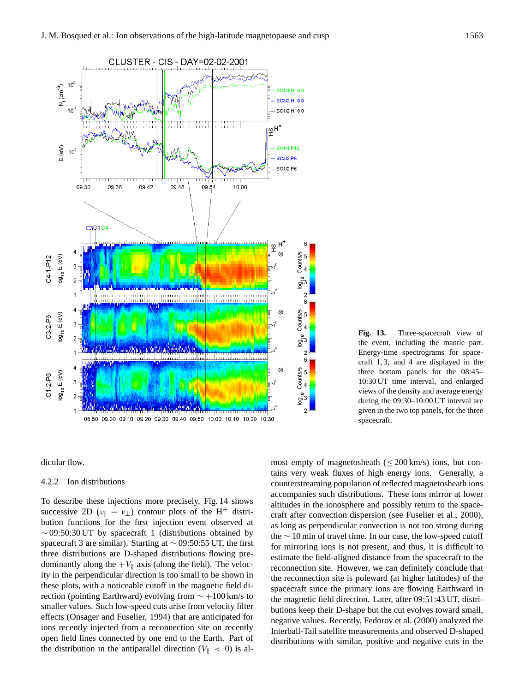

**Fig. 13.** Three-spacecraft view of the event, including the mantle part. Energy-time spectrograms for spacecraft 1, 3, and 4 are displayed in the three bottom panels for the 08:45– 10:30 UT time interval, and enlarged views of the density and average energy during the 09:30–10:00 UT interval are given in the two top panels, for the three spacecraft.

dicular flow.

#### 4.2.2 Ion distributions

To describe these injections more precisely, Fig. 14 shows successive 2D ( $v_{\parallel} - v_{\perp}$ ) contour plots of the H<sup>+</sup> distribution functions for the first injection event observed at  $\sim$  09:50:30 UT by spacecraft 1 (distributions obtained by spacecraft 3 are similar). Starting at  $\sim$  09:50:55 UT, the first three distributions are D-shaped distributions flowing predominantly along the  $+V_{\parallel}$  axis (along the field). The velocity in the perpendicular direction is too small to be shown in these plots, with a noticeable cutoff in the magnetic field direction (pointing Earthward) evolving from ∼ +100 km/s to smaller values. Such low-speed cuts arise from velocity filter effects (Onsager and Fuselier, 1994) that are anticipated for ions recently injected from a reconnection site on recently open field lines connected by one end to the Earth. Part of the distribution in the antiparallel direction ( $V_{\parallel}$  < 0) is almost empty of magnetosheath ( $\leq 200$  km/s) ions, but contains very weak fluxes of high energy ions. Generally, a counterstreaming population of reflected magnetosheath ions accompanies such distributions. These ions mirror at lower altitudes in the ionosphere and possibly return to the spacecraft after convection dispersion (see Fuselier et al., 2000), as long as perpendicular convection is not too strong during the  $\sim$  10 min of travel time. In our case, the low-speed cutoff for mirroring ions is not present, and thus, it is difficult to estimate the field-aligned distance from the spacecraft to the reconnection site. However, we can definitely conclude that the reconnection site is poleward (at higher latitudes) of the spacecraft since the primary ions are flowing Earthward in the magnetic field direction. Later, after 09:51:43 UT, distributions keep their D-shape but the cut evolves toward small, negative values. Recently, Fedorov et al. (2000) analyzed the Interball-Tail satellite measurements and observed D-shaped distributions with similar, positive and negative cuts in the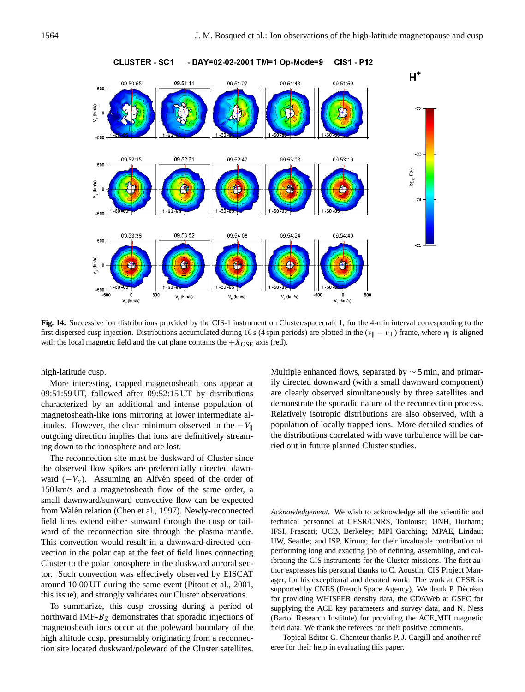

#### **CLUSTER - SC1** - DAY=02-02-2001 TM=1 Op-Mode=9 **CIS1 - P12**

**Fig. 14.** Successive ion distributions provided by the CIS-1 instrument on Cluster/spacecraft 1, for the 4-min interval corresponding to the first dispersed cusp injection. Distributions accumulated during 16 s (4 spin periods) are plotted in the ( $v_{\parallel} - v_{\perp}$ ) frame, where  $v_{\parallel}$  is aligned with the local magnetic field and the cut plane contains the  $+X_{\text{GSE}}$  axis (red).

high-latitude cusp.

More interesting, trapped magnetosheath ions appear at 09:51:59 UT, followed after 09:52:15 UT by distributions characterized by an additional and intense population of magnetosheath-like ions mirroring at lower intermediate altitudes. However, the clear minimum observed in the  $-V_{\parallel}$ outgoing direction implies that ions are definitively streaming down to the ionosphere and are lost.

The reconnection site must be duskward of Cluster since the observed flow spikes are preferentially directed dawnward  $(-V_y)$ . Assuming an Alfvén speed of the order of 150 km/s and a magnetosheath flow of the same order, a small dawnward/sunward convective flow can be expected from Walén relation (Chen et al., 1997). Newly-reconnected field lines extend either sunward through the cusp or tailward of the reconnection site through the plasma mantle. This convection would result in a dawnward-directed convection in the polar cap at the feet of field lines connecting Cluster to the polar ionosphere in the duskward auroral sector. Such convection was effectively observed by EISCAT around 10:00 UT during the same event (Pitout et al., 2001, this issue), and strongly validates our Cluster observations.

To summarize, this cusp crossing during a period of northward IMF- $B<sub>Z</sub>$  demonstrates that sporadic injections of magnetosheath ions occur at the poleward boundary of the high altitude cusp, presumably originating from a reconnection site located duskward/poleward of the Cluster satellites. Multiple enhanced flows, separated by ∼ 5 min, and primarily directed downward (with a small dawnward component) are clearly observed simultaneously by three satellites and demonstrate the sporadic nature of the reconnection process. Relatively isotropic distributions are also observed, with a population of locally trapped ions. More detailed studies of the distributions correlated with wave turbulence will be carried out in future planned Cluster studies.

*Acknowledgement.* We wish to acknowledge all the scientific and technical personnel at CESR/CNRS, Toulouse; UNH, Durham; IFSI, Frascati; UCB, Berkeley; MPI Garching; MPAE, Lindau; UW, Seattle; and ISP, Kiruna; for their invaluable contribution of performing long and exacting job of defining, assembling, and calibrating the CIS instruments for the Cluster missions. The first author expresses his personal thanks to C. Aoustin, CIS Project Manager, for his exceptional and devoted work. The work at CESR is supported by CNES (French Space Agency). We thank P. Décréau for providing WHISPER density data, the CDAWeb at GSFC for supplying the ACE key parameters and survey data, and N. Ness (Bartol Research Institute) for providing the ACE MFI magnetic field data. We thank the referees for their positive comments.

Topical Editor G. Chanteur thanks P. J. Cargill and another referee for their help in evaluating this paper.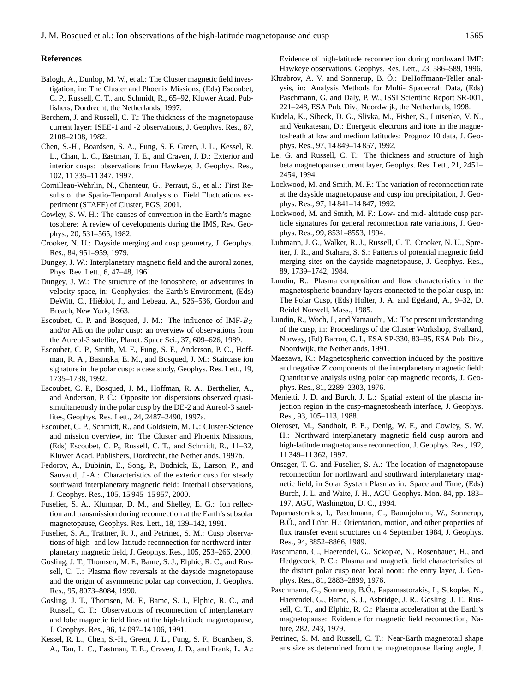## **References**

- Balogh, A., Dunlop, M. W., et al.: The Cluster magnetic field investigation, in: The Cluster and Phoenix Missions, (Eds) Escoubet, C. P., Russell, C. T., and Schmidt, R., 65–92, Kluwer Acad. Publishers, Dordrecht, the Netherlands, 1997.
- Berchem, J. and Russell, C. T.: The thickness of the magnetopause current layer: ISEE-1 and -2 observations, J. Geophys. Res., 87, 2108–2108, 1982.
- Chen, S.-H., Boardsen, S. A., Fung, S. F. Green, J. L., Kessel, R. L., Chan, L. C., Eastman, T. E., and Craven, J. D.: Exterior and interior cusps: observations from Hawkeye, J. Geophys. Res., 102, 11 335–11 347, 1997.
- Cornilleau-Wehrlin, N., Chanteur, G., Perraut, S., et al.: First Results of the Spatio-Temporal Analysis of Field Fluctuations experiment (STAFF) of Cluster, EGS, 2001.
- Cowley, S. W. H.: The causes of convection in the Earth's magnetosphere: A review of developments during the IMS, Rev. Geophys., 20, 531–565, 1982.
- Crooker, N. U.: Dayside merging and cusp geometry, J. Geophys. Res., 84, 951–959, 1979.
- Dungey, J. W.: Interplanetary magnetic field and the auroral zones, Phys. Rev. Lett., 6, 47–48, 1961.
- Dungey, J. W.: The structure of the ionosphere, or adventures in velocity space, in: Geophysics: the Earth's Environment, (Eds) DeWitt, C., Hiéblot, J., and Lebeau, A., 526-536, Gordon and Breach, New York, 1963.
- Escoubet, C. P. and Bosqued, J. M.: The influence of IMF- $B<sub>Z</sub>$ and/or AE on the polar cusp: an overview of observations from the Aureol-3 satellite, Planet. Space Sci., 37, 609–626, 1989.
- Escoubet, C. P., Smith, M. F., Fung, S. F., Anderson, P. C., Hoffman, R. A., Basinska, E. M., and Bosqued, J. M.: Staircase ion signature in the polar cusp: a case study, Geophys. Res. Lett., 19, 1735–1738, 1992.
- Escoubet, C. P., Bosqued, J. M., Hoffman, R. A., Berthelier, A., and Anderson, P. C.: Opposite ion dispersions observed quasisimultaneously in the polar cusp by the DE-2 and Aureol-3 satellites, Geophys. Res. Lett., 24, 2487–2490, 1997a.
- Escoubet, C. P., Schmidt, R., and Goldstein, M. L.: Cluster-Science and mission overview, in: The Cluster and Phoenix Missions, (Eds) Escoubet, C. P., Russell, C. T., and Schmidt, R., 11–32, Kluwer Acad. Publishers, Dordrecht, the Netherlands, 1997b.
- Fedorov, A., Dubinin, E., Song, P., Budnick, E., Larson, P., and Sauvaud, J.-A.: Characteristics of the exterior cusp for steady southward interplanetary magnetic field: Interball observations, J. Geophys. Res., 105, 15 945–15 957, 2000.
- Fuselier, S. A., Klumpar, D. M., and Shelley, E. G.: Ion reflection and transmission during reconnection at the Earth's subsolar magnetopause, Geophys. Res. Lett., 18, 139–142, 1991.
- Fuselier, S. A., Trattner, R. J., and Petrinec, S. M.: Cusp observations of high- and low-latitude reconnection for northward interplanetary magnetic field, J. Geophys. Res., 105, 253–266, 2000.
- Gosling, J. T., Thomsen, M. F., Bame, S. J., Elphic, R. C., and Russell, C. T.: Plasma flow reversals at the dayside magnetopause and the origin of asymmetric polar cap convection, J. Geophys. Res., 95, 8073–8084, 1990.
- Gosling, J. T., Thomsen, M. F., Bame, S. J., Elphic, R. C., and Russell, C. T.: Observations of reconnection of interplanetary and lobe magnetic field lines at the high-latitude magnetopause, J. Geophys. Res., 96, 14 097–14 106, 1991.
- Kessel, R. L., Chen, S.-H., Green, J. L., Fung, S. F., Boardsen, S. A., Tan, L. C., Eastman, T. E., Craven, J. D., and Frank, L. A.:

Evidence of high-latitude reconnection during northward IMF: Hawkeye observations, Geophys. Res. Lett., 23, 586–589, 1996.

- Khrabrov, A. V. and Sonnerup, B. Ö.: DeHoffmann-Teller analysis, in: Analysis Methods for Multi- Spacecraft Data, (Eds) Paschmann, G. and Daly, P. W., ISSI Scientific Report SR-001, 221–248, ESA Pub. Div., Noordwijk, the Netherlands, 1998.
- Kudela, K., Sibeck, D. G., Slivka, M., Fisher, S., Lutsenko, V. N., and Venkatesan, D.: Energetic electrons and ions in the magnetosheath at low and medium latitudes: Prognoz 10 data, J. Geophys. Res., 97, 14 849–14 857, 1992.
- Le, G. and Russell, C. T.: The thickness and structure of high beta magnetopause current layer, Geophys. Res. Lett., 21, 2451– 2454, 1994.
- Lockwood, M. and Smith, M. F.: The variation of reconnection rate at the dayside magnetopause and cusp ion precipitation, J. Geophys. Res., 97, 14 841–14 847, 1992.
- Lockwood, M. and Smith, M. F.: Low- and mid- altitude cusp particle signatures for general reconnection rate variations, J. Geophys. Res., 99, 8531–8553, 1994.
- Luhmann, J. G., Walker, R. J., Russell, C. T., Crooker, N. U., Spreiter, J. R., and Stahara, S. S.: Patterns of potential magnetic field merging sites on the dayside magnetopause, J. Geophys. Res., 89, 1739–1742, 1984.
- Lundin, R.: Plasma composition and flow characteristics in the magnetospheric boundary layers connected to the polar cusp, in: The Polar Cusp, (Eds) Holter, J. A. and Egeland, A., 9–32, D. Reidel Norwell, Mass., 1985.
- Lundin, R., Woch, J., and Yamauchi, M.: The present understanding of the cusp, in: Proceedings of the Cluster Workshop, Svalbard, Norway, (Ed) Barron, C. I., ESA SP-330, 83–95, ESA Pub. Div., Noordwijk, the Netherlands, 1991.
- Maezawa, K.: Magnetospheric convection induced by the positive and negative Z components of the interplanetary magnetic field: Quantitative analysis using polar cap magnetic records, J. Geophys. Res., 81, 2289–2303, 1976.
- Menietti, J. D. and Burch, J. L.: Spatial extent of the plasma injection region in the cusp-magnetosheath interface, J. Geophys. Res., 93, 105–113, 1988.
- Oieroset, M., Sandholt, P. E., Denig, W. F., and Cowley, S. W. H.: Northward interplanetary magnetic field cusp aurora and high-latitude magnetopause reconnection, J. Geophys. Res., 192, 11 349–11 362, 1997.
- Onsager, T. G. and Fuselier, S. A.: The location of magnetopause reconnection for northward and southward interplanetary magnetic field, in Solar System Plasmas in: Space and Time, (Eds) Burch, J. L. and Waite, J. H., AGU Geophys. Mon. 84, pp. 183– 197, AGU, Washington, D. C., 1994.
- Papamastorakis, I., Paschmann, G., Baumjohann, W., Sonnerup, B.O., and Lühr, H.: Orientation, motion, and other properties of flux transfer event structures on 4 September 1984, J. Geophys. Res., 94, 8852–8866, 1989.
- Paschmann, G., Haerendel, G., Sckopke, N., Rosenbauer, H., and Hedgecock, P. C.: Plasma and magnetic field characteristics of the distant polar cusp near local noon: the entry layer, J. Geophys. Res., 81, 2883–2899, 1976.
- Paschmann, G., Sonnerup, B.Ö., Papamastorakis, I., Sckopke, N., Haerendel, G., Bame, S. J., Asbridge, J. R., Gosling, J. T., Russell, C. T., and Elphic, R. C.: Plasma acceleration at the Earth's magnetopause: Evidence for magnetic field reconnection, Nature, 282, 243, 1979.
- Petrinec, S. M. and Russell, C. T.: Near-Earth magnetotail shape ans size as determined from the magnetopause flaring angle, J.